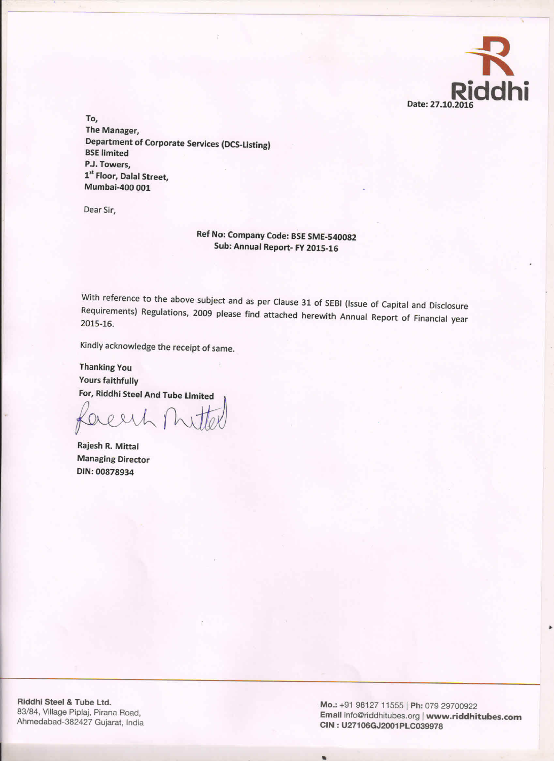

To, The Manager, **Department of Corporate Services (DCS-Listing) BSE** limited P.J. Towers, 1st Floor, Dalal Street, Mumbai-400 001

Dear Sir,

# Ref No: Company Code: BSE SME-540082 Sub: Annual Report- FY 2015-16

With reference to the above subject and as per Clause 31 of SEBI (Issue of Capital and Disclosure Requirements) Regulations, 2009 please find attached herewith Annual Report of Financial year 2015-16.

Kindly acknowledge the receipt of same.

**Thanking You Yours faithfully** For, Riddhi Steel And Tube Limited

Rajesh R. Mittal **Managing Director** DIN: 00878934

Riddhi Steel & Tube Ltd. 83/84, Village Piplaj, Pirana Road, Ahmedabad-382427 Gujarat, India

Mo.: +91 98127 11555 | Ph: 079 29700922 Email info@riddhitubes.org | www.riddhitubes.com CIN: U27106GJ2001PLC039978

 $\blacksquare$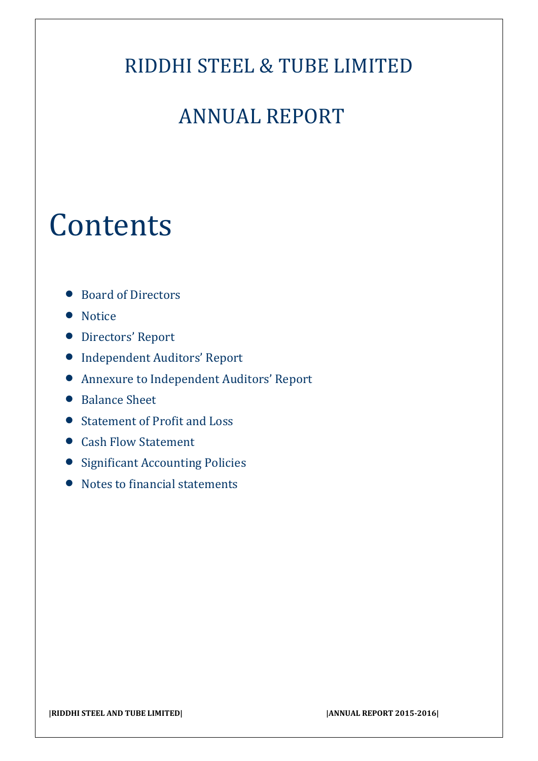# RIDDHI STEEL & TUBE LIMITED

# **ANNUAL REPORT**

# Contents

- Board of Directors
- Notice
- **•** Directors' Report
- **•** Independent Auditors' Report
- Annexure to Independent Auditors' Report
- Balance Sheet
- Statement of Profit and Loss
- Cash Flow Statement
- Significant Accounting Policies
- $\bullet$  Notes to financial statements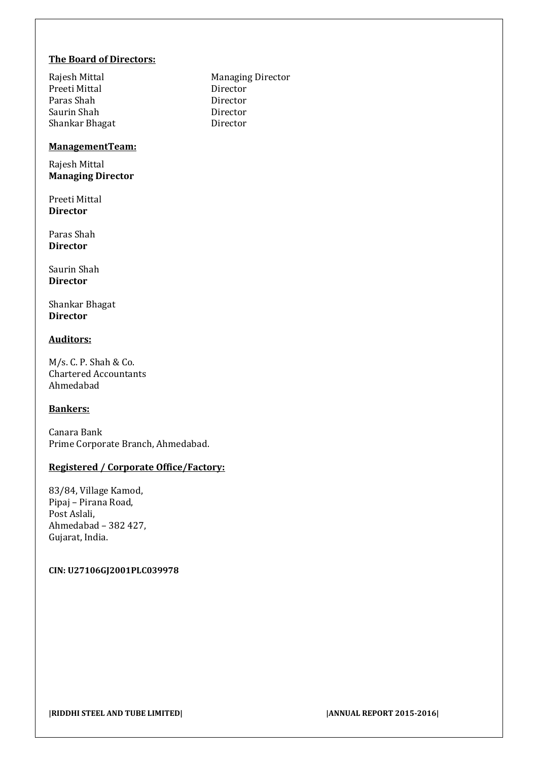#### **The Board of Directors:**

Preeti Mittal **Director** Paras Shah **Director** Saurin Shah **Director** Shankar Bhagat **Director** 

#### **ManagementTeam:**

Rajesh Mittal **Managing Director**

Preeti Mittal **Director**

Paras Shah **Director**

Saurin Shah **Director**

Shankar Bhagat **Director**

#### **Auditors:**

 $M/s$ . C. P. Shah & Co. Chartered Accountants Ahmedabad 

#### **Bankers:**

Canara Bank Prime Corporate Branch, Ahmedabad.

#### **Registered / Corporate Office/Factory:**

83/84, Village Kamod, Pipaj - Pirana Road, Post Aslali, Ahmedabad - 382 427, Gujarat, India.

#### **CIN: U27106GJ2001PLC039978**

Rajesh Mittal **Managing Director** Managing Director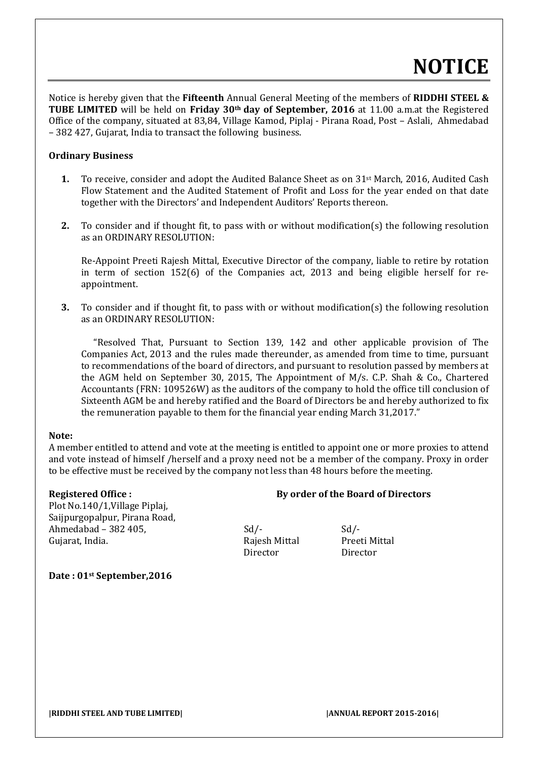# **NOTICE**

Notice is hereby given that the **Fifteenth** Annual General Meeting of the members of **RIDDHI** STEEL & **TUBE** LIMITED will be held on Friday 30<sup>th</sup> day of September, 2016 at 11.00 a.m.at the Registered Office of the company, situated at 83,84, Village Kamod, Piplaj - Pirana Road, Post – Aslali, Ahmedabad - 382 427, Gujarat, India to transact the following business.

#### **Ordinary Business**

- **1.** To receive, consider and adopt the Audited Balance Sheet as on  $31^{st}$  March, 2016, Audited Cash Flow Statement and the Audited Statement of Profit and Loss for the year ended on that date together with the Directors' and Independent Auditors' Reports thereon.
- **2.** To consider and if thought fit, to pass with or without modification(s) the following resolution as an ORDINARY RESOLUTION:

Re-Appoint Preeti Rajesh Mittal, Executive Director of the company, liable to retire by rotation in term of section  $152(6)$  of the Companies act,  $2013$  and being eligible herself for reappointment. 

**3.** To consider and if thought fit, to pass with or without modification(s) the following resolution as an ORDINARY RESOLUTION:

"Resolved That, Pursuant to Section 139, 142 and other applicable provision of The Companies Act, 2013 and the rules made thereunder, as amended from time to time, pursuant to recommendations of the board of directors, and pursuant to resolution passed by members at the AGM held on September 30, 2015, The Appointment of  $M/s$ . C.P. Shah & Co., Chartered Accountants (FRN: 109526W) as the auditors of the company to hold the office till conclusion of Sixteenth AGM be and hereby ratified and the Board of Directors be and hereby authorized to fix the remuneration payable to them for the financial year ending March  $31.2017$ ."

#### Note:

A member entitled to attend and vote at the meeting is entitled to appoint one or more proxies to attend and vote instead of himself /herself and a proxy need not be a member of the company. Proxy in order to be effective must be received by the company not less than 48 hours before the meeting.

Plot No.140/1, Village Piplaj, Saijpurgopalpur, Pirana Road, Ahmedabad –  $382\,405$ ,  $Sd/ Sd/-$ Gujarat, India. Rajesh Mittal Preeti Mittal 

**Registered Office : By order of the Board of Directors**

**Director Director** 

**Date : 01st September,2016**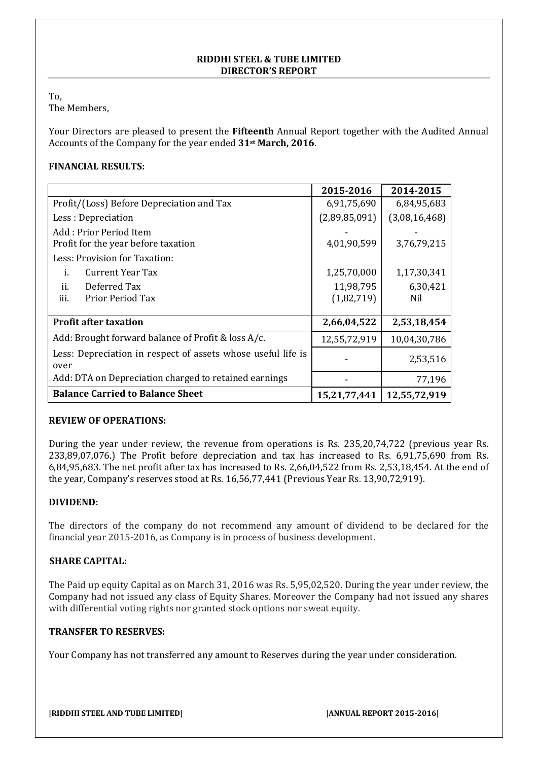#### **RIDDHI STEEL & TUBE LIMITED DIRECTOR'S REPORT**

# To,

The Members,

Your Directors are pleased to present the **Fifteenth** Annual Report together with the Audited Annual Accounts of the Company for the year ended  $31$ <sup>st</sup> March, 2016.

### **FINANCIAL RESULTS:**

|                                                                      | 2015-2016     | 2014-2015     |
|----------------------------------------------------------------------|---------------|---------------|
| Profit/(Loss) Before Depreciation and Tax                            | 6,91,75,690   | 6,84,95,683   |
| Less: Depreciation                                                   | (2,89,85,091) | (3,08,16,468) |
| Add: Prior Period Item                                               |               |               |
| Profit for the year before taxation                                  | 4,01,90,599   | 3,76,79,215   |
| Less: Provision for Taxation:                                        |               |               |
| Current Year Tax<br>j.                                               | 1,25,70,000   | 1,17,30,341   |
| Deferred Tax<br>ii.                                                  | 11,98,795     | 6,30,421      |
| iii.<br>Prior Period Tax                                             | (1,82,719)    | Nil           |
|                                                                      |               |               |
| <b>Profit after taxation</b>                                         | 2,66,04,522   | 2,53,18,454   |
| Add: Brought forward balance of Profit & loss A/c.                   | 12,55,72,919  | 10,04,30,786  |
| Less: Depreciation in respect of assets whose useful life is<br>over |               | 2,53,516      |
| Add: DTA on Depreciation charged to retained earnings                |               | 77,196        |
| <b>Balance Carried to Balance Sheet</b>                              | 15,21,77,441  | 12,55,72,919  |

#### **REVIEW OF OPERATIONS:**

During the year under review, the revenue from operations is Rs.  $235,20,74,722$  (previous year Rs.  $233,89,07,076$ .) The Profit before depreciation and tax has increased to Rs.  $6,91,75,690$  from Rs.  $6.84.95.683$ . The net profit after tax has increased to Rs. 2.66.04.522 from Rs. 2.53.18.454. At the end of the year, Company's reserves stood at Rs. 16,56,77,441 (Previous Year Rs. 13,90,72,919).

### **DIVIDEND:**

The directors of the company do not recommend any amount of dividend to be declared for the financial year 2015-2016, as Company is in process of business development.

### **SHARE CAPITAL:**

The Paid up equity Capital as on March 31, 2016 was Rs.  $5,95,02,520$ . During the year under review, the Company had not issued any class of Equity Shares. Moreover the Company had not issued any shares with differential voting rights nor granted stock options nor sweat equity.

#### **TRANSFER TO RESERVES:**

Your Company has not transferred any amount to Reserves during the year under consideration.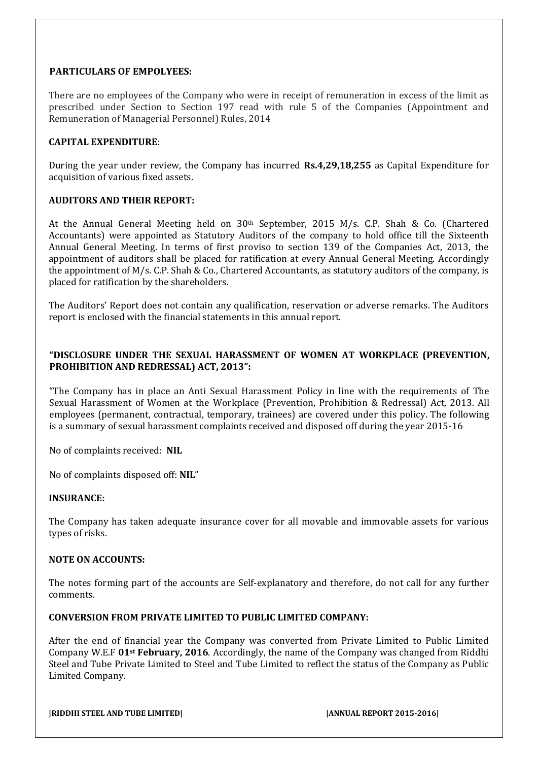#### **PARTICULARS OF EMPOLYEES:**

There are no employees of the Company who were in receipt of remuneration in excess of the limit as prescribed under Section to Section 197 read with rule 5 of the Companies (Appointment and Remuneration of Managerial Personnel) Rules, 2014

#### **CAPITAL EXPENDITURE**:

During the year under review, the Company has incurred **Rs.4,29,18,255** as Capital Expenditure for acquisition of various fixed assets.

#### **AUDITORS AND THEIR REPORT:**

At the Annual General Meeting held on 30<sup>th</sup> September, 2015 M/s. C.P. Shah & Co. (Chartered Accountants) were appointed as Statutory Auditors of the company to hold office till the Sixteenth Annual General Meeting. In terms of first proviso to section 139 of the Companies Act, 2013, the appointment of auditors shall be placed for ratification at every Annual General Meeting. Accordingly the appointment of  $M/s$ . C.P. Shah & Co., Chartered Accountants, as statutory auditors of the company, is placed for ratification by the shareholders.

The Auditors' Report does not contain any qualification, reservation or adverse remarks. The Auditors report is enclosed with the financial statements in this annual report.

#### **"DISCLOSURE UNDER THE SEXUAL HARASSMENT OF WOMEN AT WORKPLACE (PREVENTION, PROHIBITION AND REDRESSAL) ACT, 2013":**

"The Company has in place an Anti Sexual Harassment Policy in line with the requirements of The Sexual Harassment of Women at the Workplace (Prevention, Prohibition & Redressal) Act, 2013. All employees (permanent, contractual, temporary, trainees) are covered under this policy. The following is a summary of sexual harassment complaints received and disposed off during the year 2015-16

No of complaints received: NIL

No of complaints disposed off: NIL"

#### **INSURANCE:**

The Company has taken adequate insurance cover for all movable and immovable assets for various types of risks.

#### **NOTE ON ACCOUNTS:**

The notes forming part of the accounts are Self-explanatory and therefore, do not call for any further comments. 

#### **CONVERSION FROM PRIVATE LIMITED TO PUBLIC LIMITED COMPANY:**

After the end of financial year the Company was converted from Private Limited to Public Limited Company W.E.F 01<sup>st</sup> **February, 2016**. Accordingly, the name of the Company was changed from Riddhi Steel and Tube Private Limited to Steel and Tube Limited to reflect the status of the Company as Public Limited Company.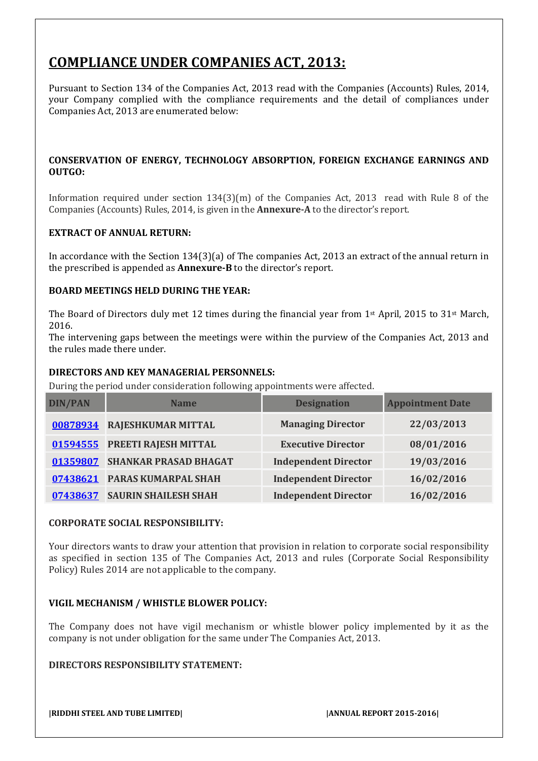# **COMPLIANCE UNDER COMPANIES ACT, 2013:**

Pursuant to Section 134 of the Companies Act, 2013 read with the Companies (Accounts) Rules, 2014, your Company complied with the compliance requirements and the detail of compliances under Companies Act, 2013 are enumerated below:

#### **CONSERVATION OF ENERGY, TECHNOLOGY ABSORPTION, FOREIGN EXCHANGE EARNINGS AND OUTGO:**

Information required under section  $134(3)(m)$  of the Companies Act, 2013 read with Rule 8 of the Companies (Accounts) Rules, 2014, is given in the **Annexure-A** to the director's report.

#### **EXTRACT OF ANNUAL RETURN:**

In accordance with the Section  $134(3)(a)$  of The companies Act, 2013 an extract of the annual return in the prescribed is appended as **Annexure-B** to the director's report.

#### **BOARD MEETINGS HELD DURING THE YEAR:**

The Board of Directors duly met 12 times during the financial year from  $1<sup>st</sup>$  April, 2015 to 31<sup>st</sup> March, 2016. 

The intervening gaps between the meetings were within the purview of the Companies Act, 2013 and the rules made there under.

#### **DIRECTORS AND KEY MANAGERIAL PERSONNELS:**

During the period under consideration following appointments were affected.

| <b>DIN/PAN</b> | <b>Name</b>                  | <b>Designation</b>          | <b>Appointment Date</b> |
|----------------|------------------------------|-----------------------------|-------------------------|
| 00878934       | <b>RAJESHKUMAR MITTAL</b>    | <b>Managing Director</b>    | 22/03/2013              |
| 01594555       | <b>PREETI RAJESH MITTAL</b>  | <b>Executive Director</b>   | 08/01/2016              |
| 01359807       | <b>SHANKAR PRASAD BHAGAT</b> | <b>Independent Director</b> | 19/03/2016              |
| 07438621       | <b>PARAS KUMARPAL SHAH</b>   | <b>Independent Director</b> | 16/02/2016              |
| 07438637       | <b>SAURIN SHAILESH SHAH</b>  | <b>Independent Director</b> | 16/02/2016              |

#### **CORPORATE SOCIAL RESPONSIBILITY:**

Your directors wants to draw your attention that provision in relation to corporate social responsibility as specified in section 135 of The Companies Act, 2013 and rules (Corporate Social Responsibility Policy) Rules 2014 are not applicable to the company.

### **VIGIL MECHANISM / WHISTLE BLOWER POLICY:**

The Company does not have vigil mechanism or whistle blower policy implemented by it as the company is not under obligation for the same under The Companies Act, 2013.

#### **DIRECTORS RESPONSIBILITY STATEMENT:**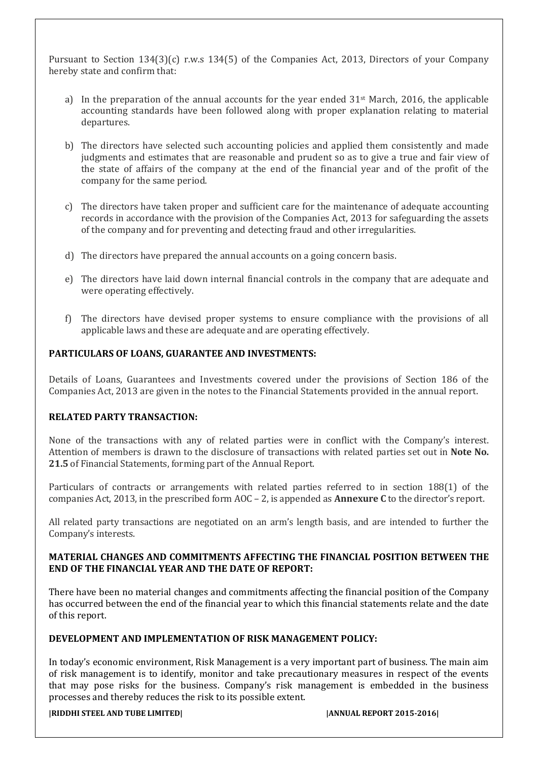Pursuant to Section  $134(3)(c)$  r.w.s  $134(5)$  of the Companies Act, 2013, Directors of your Company hereby state and confirm that:

- a) In the preparation of the annual accounts for the year ended  $31st$  March, 2016, the applicable accounting standards have been followed along with proper explanation relating to material departures.
- b) The directors have selected such accounting policies and applied them consistently and made judgments and estimates that are reasonable and prudent so as to give a true and fair view of the state of affairs of the company at the end of the financial year and of the profit of the company for the same period.
- c) The directors have taken proper and sufficient care for the maintenance of adequate accounting records in accordance with the provision of the Companies Act, 2013 for safeguarding the assets of the company and for preventing and detecting fraud and other irregularities.
- d) The directors have prepared the annual accounts on a going concern basis.
- e) The directors have laid down internal financial controls in the company that are adequate and were operating effectively.
- f) The directors have devised proper systems to ensure compliance with the provisions of all applicable laws and these are adequate and are operating effectively.

#### **PARTICULARS OF LOANS, GUARANTEE AND INVESTMENTS:**

Details of Loans, Guarantees and Investments covered under the provisions of Section 186 of the Companies Act, 2013 are given in the notes to the Financial Statements provided in the annual report.

#### **RELATED PARTY TRANSACTION:**

None of the transactions with any of related parties were in conflict with the Company's interest. Attention of members is drawn to the disclosure of transactions with related parties set out in Note No. **21.5** of Financial Statements, forming part of the Annual Report.

Particulars of contracts or arrangements with related parties referred to in section 188(1) of the companies Act, 2013, in the prescribed form AOC – 2, is appended as **Annexure C** to the director's report.

All related party transactions are negotiated on an arm's length basis, and are intended to further the Company's interests.

#### **MATERIAL CHANGES AND COMMITMENTS AFFECTING THE FINANCIAL POSITION BETWEEN THE END OF THE FINANCIAL YEAR AND THE DATE OF REPORT:**

There have been no material changes and commitments affecting the financial position of the Company has occurred between the end of the financial year to which this financial statements relate and the date of this report.

#### **DEVELOPMENT AND IMPLEMENTATION OF RISK MANAGEMENT POLICY:**

In today's economic environment, Risk Management is a very important part of business. The main aim of risk management is to identify, monitor and take precautionary measures in respect of the events that may pose risks for the business. Company's risk management is embedded in the business processes and thereby reduces the risk to its possible extent.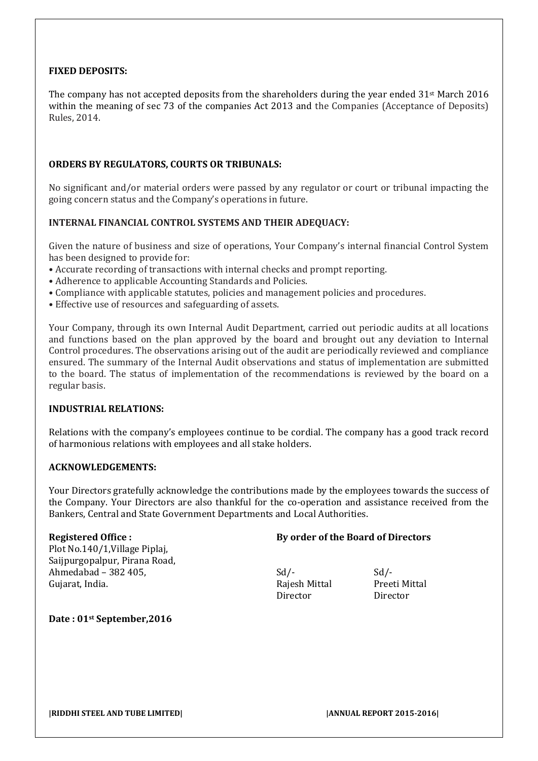#### **FIXED DEPOSITS:**

The company has not accepted deposits from the shareholders during the year ended  $31^{st}$  March 2016 within the meaning of sec 73 of the companies Act 2013 and the Companies (Acceptance of Deposits) Rules, 2014. 

#### **ORDERS BY REGULATORS, COURTS OR TRIBUNALS:**

No significant and/or material orders were passed by any regulator or court or tribunal impacting the going concern status and the Company's operations in future.

#### **INTERNAL FINANCIAL CONTROL SYSTEMS AND THEIR ADEQUACY:**

Given the nature of business and size of operations, Your Company's internal financial Control System has been designed to provide for:

- Accurate recording of transactions with internal checks and prompt reporting.
- Adherence to applicable Accounting Standards and Policies.
- Compliance with applicable statutes, policies and management policies and procedures.
- Effective use of resources and safeguarding of assets.

Your Company, through its own Internal Audit Department, carried out periodic audits at all locations and functions based on the plan approved by the board and brought out any deviation to Internal Control procedures. The observations arising out of the audit are periodically reviewed and compliance ensured. The summary of the Internal Audit observations and status of implementation are submitted to the board. The status of implementation of the recommendations is reviewed by the board on a regular basis.

#### **INDUSTRIAL RELATIONS:**

Relations with the company's employees continue to be cordial. The company has a good track record of harmonious relations with employees and all stake holders.

#### **ACKNOWLEDGEMENTS:**

Your Directors gratefully acknowledge the contributions made by the employees towards the success of the Company. Your Directors are also thankful for the co-operation and assistance received from the Bankers, Central and State Government Departments and Local Authorities.

Plot No.140/1, Village Piplaj, Saijpurgopalpur, Pirana Road, Ahmedabad – 382 405.  $Sd/ Sd/-$ Gujarat, India. Rajesh Mittal Preeti Mittal 

#### **Registered Office : By order of the Board of Directors**

**Director** Director **Director** 

**Date : 01st September,2016**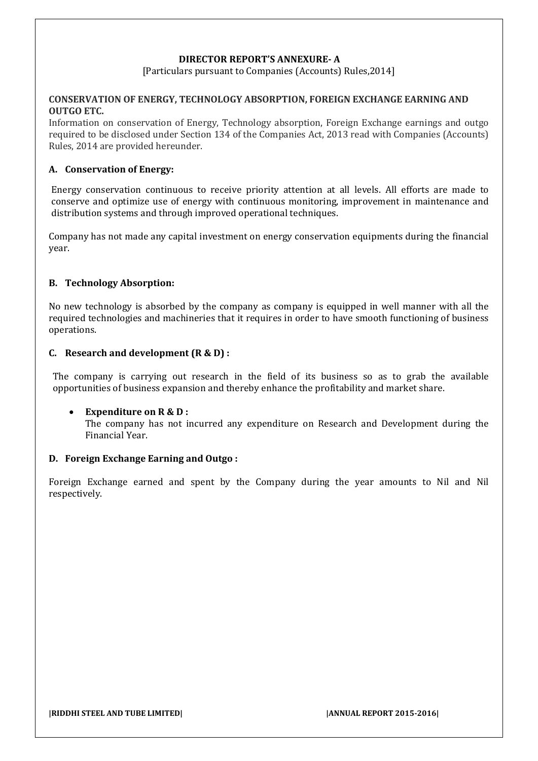#### **DIRECTOR REPORT'S ANNEXURE‐ A**

[Particulars pursuant to Companies (Accounts) Rules,2014]

#### **CONSERVATION OF ENERGY, TECHNOLOGY ABSORPTION, FOREIGN EXCHANGE EARNING AND OUTGO ETC.**

Information on conservation of Energy, Technology absorption, Foreign Exchange earnings and outgo required to be disclosed under Section 134 of the Companies Act, 2013 read with Companies (Accounts) Rules, 2014 are provided hereunder.

#### **A. Conservation of Energy:**

Energy conservation continuous to receive priority attention at all levels. All efforts are made to conserve and optimize use of energy with continuous monitoring, improvement in maintenance and distribution systems and through improved operational techniques.

Company has not made any capital investment on energy conservation equipments during the financial year. 

#### **B. Technology Absorption:**

No new technology is absorbed by the company as company is equipped in well manner with all the required technologies and machineries that it requires in order to have smooth functioning of business operations. 

#### **C.** Research and development  $(R & D)$ :

The company is carrying out research in the field of its business so as to grab the available opportunities of business expansion and thereby enhance the profitability and market share.

#### **Expenditure on R & D :**

The company has not incurred any expenditure on Research and Development during the Financial Year. 

#### **D. Foreign Exchange Earning and Outgo :**

Foreign Exchange earned and spent by the Company during the year amounts to Nil and Nil respectively.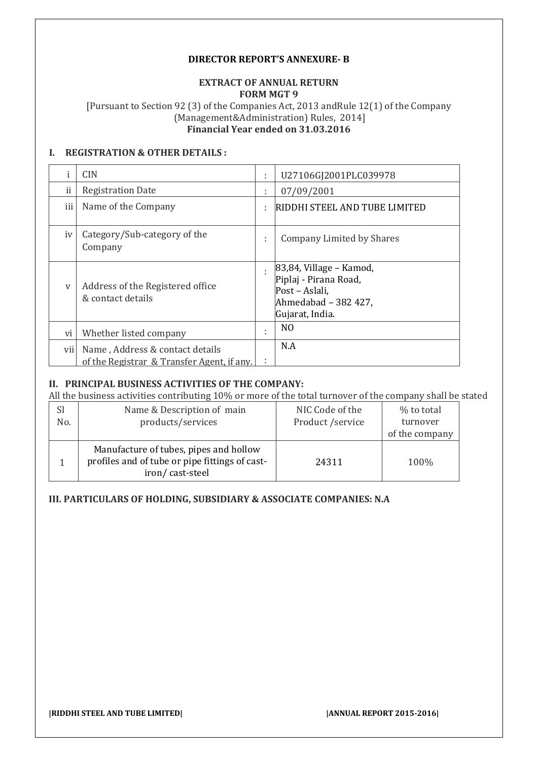#### **DIRECTOR REPORT'S ANNEXURE‐ B**

#### **EXTRACT OF ANNUAL RETURN FORM MGT 9**

[Pursuant to Section 92 (3) of the Companies Act, 2013 andRule 12(1) of the Company (Management&Administration) Rules, 2014] **Financial Year ended on 31.03.2016**

#### **I. REGISTRATION & OTHER DETAILS :**

|              | <b>CIN</b>                                                                        | ٠<br>$\blacksquare$ | U27106GJ2001PLC039978                                                                                         |
|--------------|-----------------------------------------------------------------------------------|---------------------|---------------------------------------------------------------------------------------------------------------|
| ii           | <b>Registration Date</b>                                                          |                     | 07/09/2001                                                                                                    |
| iii          | Name of the Company                                                               | ٠                   | RIDDHI STEEL AND TUBE LIMITED                                                                                 |
| iv           | Category/Sub-category of the<br>Company                                           | ٠<br>÷              | Company Limited by Shares                                                                                     |
| $\mathbf{V}$ | Address of the Registered office<br>& contact details                             | $\blacksquare$      | 83,84, Village – Kamod,<br>Piplaj - Pirana Road,<br>Post - Aslali,<br>Ahmedabad - 382 427,<br>Gujarat, India. |
| vi           | Whether listed company                                                            | ٠                   | N <sub>O</sub>                                                                                                |
|              | vii Name, Address & contact details<br>of the Registrar & Transfer Agent, if any. | ٠                   | N.A                                                                                                           |

#### **II. PRINCIPAL BUSINESS ACTIVITIES OF THE COMPANY:**

All the business activities contributing 10% or more of the total turnover of the company shall be stated

| Sl<br>No. | Name & Description of main<br>products/services                                                             | NIC Code of the<br>Product /service | % to total<br>turnover<br>of the company |
|-----------|-------------------------------------------------------------------------------------------------------------|-------------------------------------|------------------------------------------|
|           | Manufacture of tubes, pipes and hollow<br>profiles and of tube or pipe fittings of cast-<br>iron/cast-steel | 24311                               | 100%                                     |

#### **III. PARTICULARS OF HOLDING, SUBSIDIARY & ASSOCIATE COMPANIES: N.A**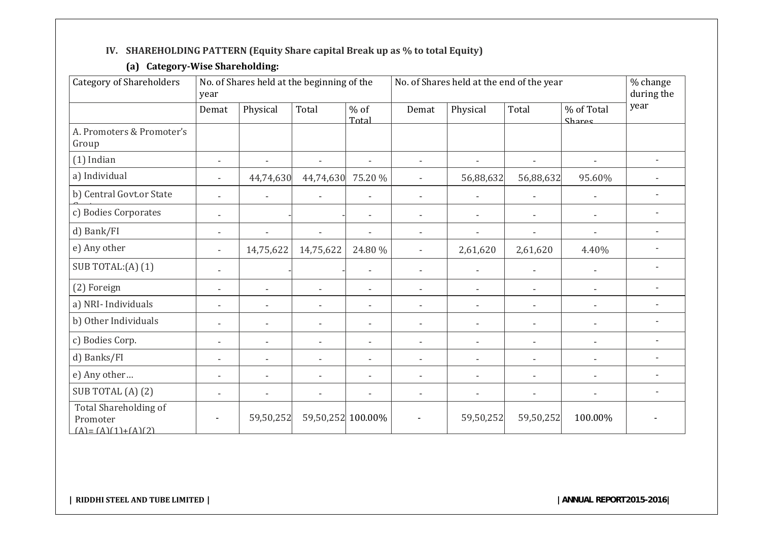#### **IV. SHAREHOLDING PATTERN (Equity Share capital Break up as % to total Equity)**

# **(a) Category‐Wise Shareholding:**

| <b>Category of Shareholders</b>                              | year                     | No. of Shares held at the beginning of the |                          |                          | No. of Shares held at the end of the year |                |                          |                      | % change<br>during the |
|--------------------------------------------------------------|--------------------------|--------------------------------------------|--------------------------|--------------------------|-------------------------------------------|----------------|--------------------------|----------------------|------------------------|
|                                                              | Demat                    | Physical                                   | Total                    | $%$ of<br>Total          | Demat                                     | Physical       | Total                    | % of Total<br>Shares | year                   |
| A. Promoters & Promoter's<br>Group                           |                          |                                            |                          |                          |                                           |                |                          |                      |                        |
| $(1)$ Indian                                                 | $\sim$                   |                                            | $\overline{\phantom{a}}$ | $\sim$                   | $\overline{\phantom{a}}$                  |                |                          |                      |                        |
| a) Individual                                                | $\overline{\phantom{a}}$ | 44,74,630                                  | 44,74,630                | 75.20 %                  | $\overline{\phantom{a}}$                  | 56,88,632      | 56,88,632                | 95.60%               |                        |
| b) Central Govt.or State                                     | $\overline{\phantom{a}}$ | $\sim$                                     | $\sim$                   | $\sim$                   | $\sim$                                    |                |                          |                      |                        |
| c) Bodies Corporates                                         | $\sim$                   |                                            |                          | $\sim$                   | $\overline{\phantom{a}}$                  | $\sim$         | $\sim$                   |                      |                        |
| d) Bank/FI                                                   | $\sim$                   | $\overline{a}$                             | $\overline{\phantom{a}}$ | $\sim$                   | $\blacksquare$                            | $\overline{a}$ | $\sim$                   |                      |                        |
| e) Any other                                                 | $\overline{\phantom{a}}$ | 14,75,622                                  | 14,75,622                | 24.80 %                  | $\sim$                                    | 2,61,620       | 2,61,620                 | 4.40%                |                        |
| SUB TOTAL: $(A)$ $(1)$                                       | $\overline{\phantom{a}}$ |                                            |                          |                          | $\sim$                                    |                | $\overline{a}$           |                      |                        |
| (2) Foreign                                                  | $\overline{\phantom{a}}$ | $\sim$                                     | $\sim$                   | $\sim$                   | $\sim$                                    | $\sim$         | $\sim$                   |                      |                        |
| a) NRI- Individuals                                          |                          | $\blacksquare$                             |                          |                          |                                           |                |                          |                      |                        |
| b) Other Individuals                                         | $\sim$                   | ٠                                          |                          | $\sim$                   | ä,                                        |                |                          |                      |                        |
| c) Bodies Corp.                                              | $\sim$                   | $\overline{\phantom{a}}$                   |                          | $\sim$                   | $\sim$                                    | $\sim$         | $\sim$                   |                      |                        |
| d) Banks/FI                                                  | ÷.                       | $\overline{\phantom{a}}$                   |                          |                          | ٠                                         |                |                          |                      |                        |
| e) Any other                                                 | $\blacksquare$           | $\overline{a}$                             | $\sim$                   | $\sim$                   | $\sim$                                    | $\sim$         | $\overline{a}$           |                      |                        |
| SUB TOTAL (A) (2)                                            | $\overline{\phantom{a}}$ |                                            |                          | $\overline{\phantom{a}}$ | ٠                                         |                | $\overline{\phantom{a}}$ |                      |                        |
| Total Shareholding of<br>Promoter<br>$(A) = (A)(1) + (A)(2)$ |                          | 59,50,252                                  | 59,50,252 100.00%        |                          | ٠                                         | 59,50,252      | 59,50,252                | 100.00%              |                        |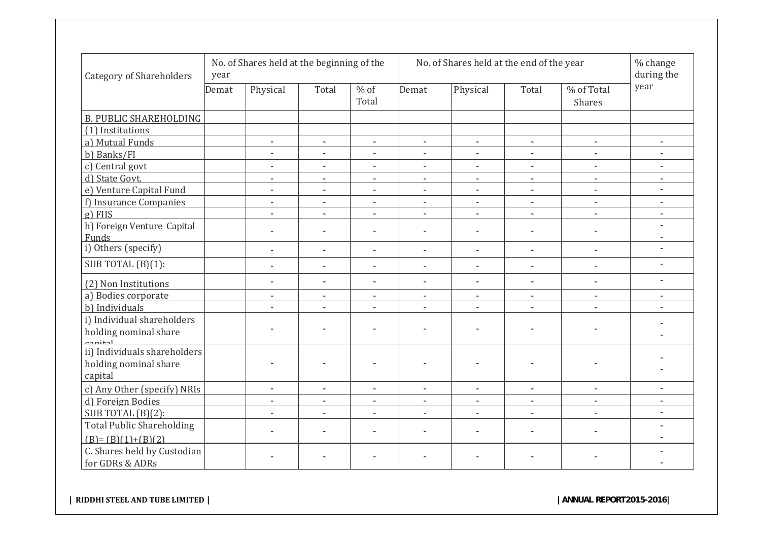| <b>Category of Shareholders</b>                                | year  | No. of Shares held at the beginning of the |                          |                          |                          | No. of Shares held at the end of the year |                          |                          | % change<br>during the   |
|----------------------------------------------------------------|-------|--------------------------------------------|--------------------------|--------------------------|--------------------------|-------------------------------------------|--------------------------|--------------------------|--------------------------|
|                                                                | Demat | Physical                                   | Total                    | $%$ of<br>Total          | Demat                    | Physical                                  | Total                    | % of Total<br>Shares     | year                     |
| <b>B. PUBLIC SHAREHOLDING</b>                                  |       |                                            |                          |                          |                          |                                           |                          |                          |                          |
| (1) Institutions                                               |       |                                            |                          |                          |                          |                                           |                          |                          |                          |
| a) Mutual Funds                                                |       | $\sim$                                     | $\blacksquare$           | $\blacksquare$           | $\sim$                   | $\blacksquare$                            | $\blacksquare$           | $\blacksquare$           | $\sim$                   |
| b) Banks/FI                                                    |       | $\blacksquare$                             | $\blacksquare$           | Ĭ.                       |                          | $\blacksquare$                            | $\blacksquare$           | $\blacksquare$           |                          |
| c) Central govt                                                |       | $\overline{\phantom{a}}$                   | $\blacksquare$           | $\overline{\phantom{a}}$ | $\blacksquare$           | $\overline{\phantom{a}}$                  | $\blacksquare$           | $\overline{\phantom{a}}$ | $\blacksquare$           |
| d) State Govt.                                                 |       | $\blacksquare$                             | $\blacksquare$           | $\blacksquare$           | $\overline{\phantom{a}}$ | $\blacksquare$                            | $\overline{\phantom{a}}$ | $\blacksquare$           | $\overline{\phantom{a}}$ |
| e) Venture Capital Fund                                        |       | $\blacksquare$                             | $\blacksquare$           | $\blacksquare$           | $\blacksquare$           | $\blacksquare$                            | $\blacksquare$           | $\blacksquare$           | $\overline{\phantom{a}}$ |
| f) Insurance Companies                                         |       | $\blacksquare$                             | $\blacksquare$           | $\blacksquare$           | $\blacksquare$           | $\omega$                                  | $\blacksquare$           | $\blacksquare$           | $\blacksquare$           |
| $g$ ) FIIS                                                     |       | ä,                                         | $\blacksquare$           | $\blacksquare$           | $\blacksquare$           | $\blacksquare$                            | $\overline{\phantom{a}}$ | $\overline{\phantom{a}}$ | $\overline{\phantom{a}}$ |
| h) Foreign Venture Capital<br><b>Funds</b>                     |       | $\overline{a}$                             | $\overline{a}$           | $\sim$                   |                          | $\overline{\phantom{a}}$                  | $\overline{a}$           | $\blacksquare$           |                          |
| i) Others (specify)                                            |       | $\blacksquare$                             | ÷,                       | $\blacksquare$           | $\sim$                   | $\blacksquare$                            | $\blacksquare$           | $\blacksquare$           | $\overline{a}$           |
| SUB TOTAL (B)(1):                                              |       | $\sim$                                     | $\blacksquare$           | $\blacksquare$           | $\blacksquare$           | $\overline{\phantom{a}}$                  | $\blacksquare$           | $\sim$                   | $\overline{\phantom{a}}$ |
| (2) Non Institutions                                           |       | $\blacksquare$                             | $\blacksquare$           | $\sim$                   | $\blacksquare$           | $\blacksquare$                            | $\blacksquare$           | $\blacksquare$           | $\overline{\phantom{a}}$ |
| a) Bodies corporate                                            |       | ÷,                                         | $\blacksquare$           | $\blacksquare$           | $\blacksquare$           | $\sim$                                    | $\blacksquare$           | $\blacksquare$           | $\blacksquare$           |
| b) Individuals                                                 |       | $\mathbf{r}$                               | $\sim$                   | $\sim$                   |                          | $\overline{a}$                            | $\blacksquare$           | $\sim$                   |                          |
| i) Individual shareholders<br>holding nominal share<br>capital |       |                                            |                          |                          |                          |                                           |                          |                          |                          |
| ii) Individuals shareholders<br>holding nominal share          |       |                                            |                          |                          |                          |                                           |                          |                          |                          |
| capital                                                        |       |                                            |                          |                          |                          |                                           |                          |                          |                          |
| c) Any Other (specify) NRIs                                    |       | ä,                                         | $\blacksquare$           | $\blacksquare$           | $\blacksquare$           | $\blacksquare$                            | $\blacksquare$           | $\overline{\phantom{a}}$ | $\overline{\phantom{a}}$ |
| d) Foreign Bodies                                              |       | $\blacksquare$                             | $\blacksquare$           | $\blacksquare$           | $\blacksquare$           | $\blacksquare$                            | $\blacksquare$           | $\blacksquare$           | $\blacksquare$           |
| SUB TOTAL (B)(2):                                              |       | ÷,                                         | $\blacksquare$           | $\blacksquare$           | $\omega$                 | $\blacksquare$                            | $\blacksquare$           | $\blacksquare$           |                          |
| <b>Total Public Shareholding</b>                               |       |                                            | $\overline{\phantom{a}}$ | ÷                        |                          | $\overline{a}$                            | $\overline{a}$           | $\overline{a}$           |                          |
| $(B) = (B)(1)+(B)(2)$                                          |       |                                            |                          |                          |                          |                                           |                          |                          |                          |
| C. Shares held by Custodian<br>for GDRs & ADRs                 |       |                                            |                          |                          |                          |                                           | $\blacksquare$           |                          |                          |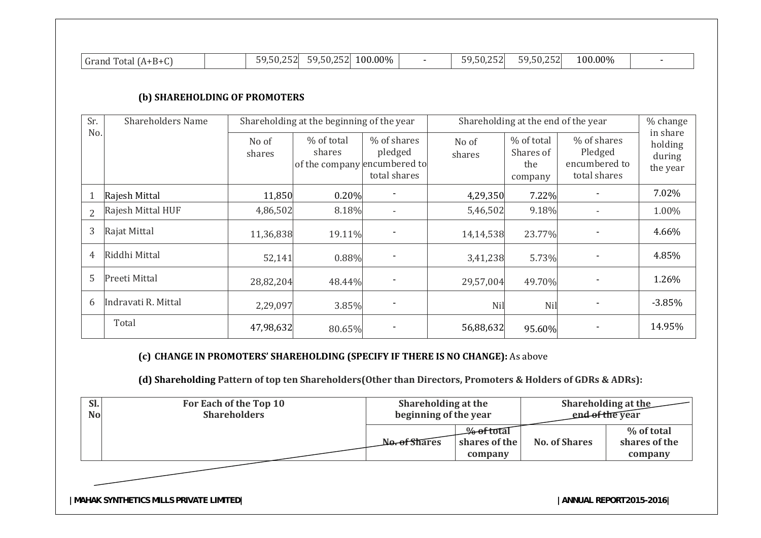| <b>D</b><br>irand<br>. R⊥.<br>`∩t∩<br>$\Delta +$<br>Uldi | . | $\sim$<br>$\overline{\phantom{a}}$<br>DU.ZDZL<br>. | 100.00% | $\sim$ $\sim$ $\sim$<br>- - | $\equiv$ $\sim$ $\equiv$ $\sim$<br>$\sim$<br>$\sim$<br>7.50.Z57 | 100.00% |  |
|----------------------------------------------------------|---|----------------------------------------------------|---------|-----------------------------|-----------------------------------------------------------------|---------|--|

#### **(b) SHAREHOLDING OF PROMOTERS**

| Sr.            | <b>Shareholders Name</b> |                 | Shareholding at the beginning of the year            |                                        |                 | Shareholding at the end of the year       | % change                                                |                                           |
|----------------|--------------------------|-----------------|------------------------------------------------------|----------------------------------------|-----------------|-------------------------------------------|---------------------------------------------------------|-------------------------------------------|
| No.            |                          | No of<br>shares | % of total<br>shares<br>of the company encumbered to | % of shares<br>pledged<br>total shares | No of<br>shares | % of total<br>Shares of<br>the<br>company | % of shares<br>Pledged<br>encumbered to<br>total shares | in share<br>holding<br>during<br>the year |
|                | Rajesh Mittal            | 11,850          | 0.20%                                                |                                        | 4,29,350        | 7.22%                                     |                                                         | 7.02%                                     |
| $\overline{2}$ | Rajesh Mittal HUF        | 4,86,502        | 8.18%                                                |                                        | 5,46,502        | 9.18%                                     |                                                         | 1.00%                                     |
| 3              | Rajat Mittal             | 11,36,838       | 19.11%                                               |                                        | 14,14,538       | 23.77%                                    |                                                         | 4.66%                                     |
| 4              | Riddhi Mittal            | 52,141          | 0.88%                                                |                                        | 3,41,238        | 5.73%                                     |                                                         | 4.85%                                     |
| 5              | Preeti Mittal            | 28,82,204       | 48.44%                                               |                                        | 29,57,004       | 49.70%                                    |                                                         | 1.26%                                     |
| 6              | Indravati R. Mittal      | 2,29,097        | 3.85%                                                |                                        | Nil             | Nil                                       | г.                                                      | $-3.85%$                                  |
|                | Total                    | 47,98,632       | 80.65%                                               |                                        | 56,88,632       | 95.60%                                    |                                                         | 14.95%                                    |

# **(c) CHANGE IN PROMOTERS' SHAREHOLDING (SPECIFY IF THERE IS NO CHANGE):** As above

**(d) Shareholding Pattern of top ten Shareholders(Other than Directors, Promoters & Holders of GDRs & ADRs):**

| Sl.<br>N <sub>o</sub> | For Each of the Top 10<br><b>Shareholders</b> | Shareholding at the<br>beginning of the year |                                               | Shareholding at the<br>end of the year |                                        |
|-----------------------|-----------------------------------------------|----------------------------------------------|-----------------------------------------------|----------------------------------------|----------------------------------------|
|                       |                                               | No. of Shares                                | <u>%-of total</u><br>shares of the<br>company | <b>No. of Shares</b>                   | % of total<br>shares of the<br>company |
|                       |                                               |                                              |                                               |                                        |                                        |
|                       | MAHAK SYNTHETICS MILLS PRIVATE LIMITED        |                                              |                                               |                                        | ANNUAL REPORT2015-2016                 |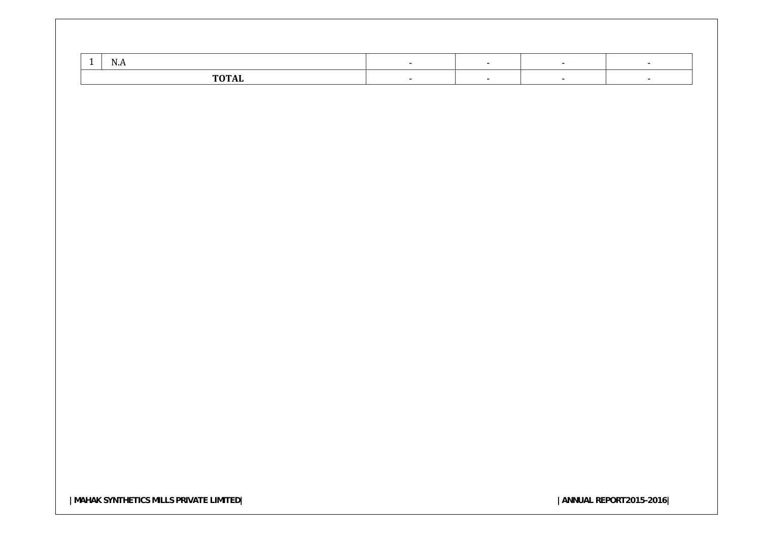| .   |  |  |
|-----|--|--|
| max |  |  |

|MAHAK SYNTHETICS MILLS PRIVATE LIMITED|<br>|ANNUAL REPORT2015-2016|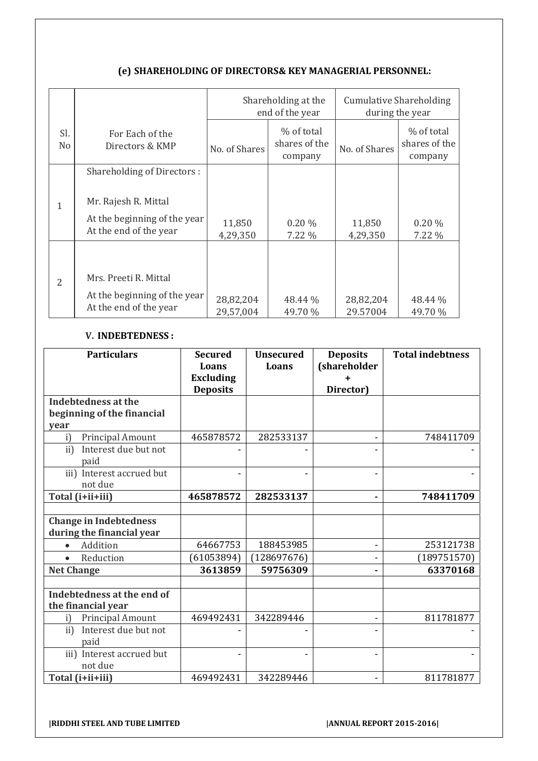# **(e) SHAREHOLDING OF DIRECTORS& KEY MANAGERIAL PERSONNEL:**

|                       |                                                                                 |                        | Shareholding at the<br>end of the year | <b>Cumulative Shareholding</b><br>during the year |                                        |  |
|-----------------------|---------------------------------------------------------------------------------|------------------------|----------------------------------------|---------------------------------------------------|----------------------------------------|--|
| SI.<br>N <sub>0</sub> | For Each of the<br>Directors & KMP                                              | No. of Shares          | % of total<br>shares of the<br>company | No. of Shares                                     | % of total<br>shares of the<br>company |  |
|                       | Shareholding of Directors :                                                     |                        |                                        |                                                   |                                        |  |
| 1                     | Mr. Rajesh R. Mittal<br>At the beginning of the year<br>At the end of the year  | 11,850<br>4,29,350     | $0.20\%$<br>7.22 %                     | 11,850<br>4,29,350                                | 0.20%<br>7.22 %                        |  |
| $\overline{2}$        | Mrs. Preeti R. Mittal<br>At the beginning of the year<br>At the end of the year | 28,82,204<br>29,57,004 | 48.44 \%<br>49.70 %                    | 28,82,204<br>29.57004                             | 48.44 %<br>49.70 %                     |  |

#### **V. INDEBTEDNESS :**

| <b>Particulars</b>                                        | <b>Secured</b><br>Loans<br><b>Excluding</b><br><b>Deposits</b> | <b>Unsecured</b><br>Loans | <b>Deposits</b><br>(shareholder<br>Director) | <b>Total indebtness</b> |
|-----------------------------------------------------------|----------------------------------------------------------------|---------------------------|----------------------------------------------|-------------------------|
| Indebtedness at the<br>beginning of the financial<br>year |                                                                |                           |                                              |                         |
| Principal Amount<br>i)                                    | 465878572                                                      | 282533137                 |                                              | 748411709               |
| Interest due but not<br>ii)<br>paid                       |                                                                |                           |                                              |                         |
| iii) Interest accrued but<br>not due                      |                                                                |                           |                                              |                         |
| Total (i+ii+iii)                                          | 465878572                                                      | 282533137                 |                                              | 748411709               |
|                                                           |                                                                |                           |                                              |                         |
| <b>Change in Indebtedness</b>                             |                                                                |                           |                                              |                         |
| during the financial year                                 |                                                                |                           |                                              |                         |
| Addition                                                  | 64667753                                                       | 188453985                 |                                              | 253121738               |
| Reduction                                                 | (61053894)                                                     | (128697676)               |                                              | (189751570)             |
| <b>Net Change</b>                                         | 3613859                                                        | 59756309                  |                                              | 63370168                |
| Indebtedness at the end of                                |                                                                |                           |                                              |                         |
| the financial year                                        |                                                                |                           |                                              |                         |
| <b>Principal Amount</b><br>i)                             | 469492431                                                      | 342289446                 |                                              | 811781877               |
| Interest due but not<br>ii)<br>paid                       |                                                                |                           |                                              |                         |
| iii) Interest accrued but<br>not due                      |                                                                |                           |                                              |                         |
| Total (i+ii+iii)                                          | 469492431                                                      | 342289446                 |                                              | 811781877               |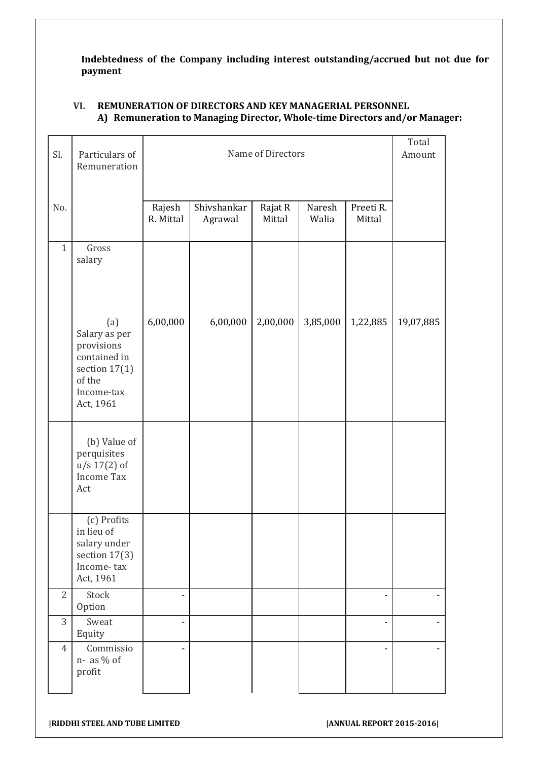**Indebtedness of the Company including interest outstanding/accrued but not due for payment**

| Sl.            | Particulars of<br>Remuneration                                                                             |                     | Name of Directors      |                   |                 |                     |           |  |
|----------------|------------------------------------------------------------------------------------------------------------|---------------------|------------------------|-------------------|-----------------|---------------------|-----------|--|
| No.            |                                                                                                            | Rajesh<br>R. Mittal | Shivshankar<br>Agrawal | Rajat R<br>Mittal | Naresh<br>Walia | Preeti R.<br>Mittal |           |  |
| $\mathbf{1}$   | Gross<br>salary                                                                                            |                     |                        |                   |                 |                     |           |  |
|                | (a)<br>Salary as per<br>provisions<br>contained in<br>section $17(1)$<br>of the<br>Income-tax<br>Act, 1961 | 6,00,000            | 6,00,000               | 2,00,000          | 3,85,000        | 1,22,885            | 19,07,885 |  |
|                | (b) Value of<br>perquisites<br>$u/s$ 17(2) of<br><b>Income Tax</b><br>Act                                  |                     |                        |                   |                 |                     |           |  |
|                | (c) Profits<br>in lieu of<br>salary under<br>section 17(3)<br>Income-tax<br>Act, 1961                      |                     |                        |                   |                 |                     |           |  |
| $\overline{2}$ | Stock<br>Option                                                                                            |                     |                        |                   |                 |                     |           |  |
| 3              | Sweat<br>Equity                                                                                            |                     |                        |                   |                 |                     |           |  |
| $\overline{4}$ | Commissio<br>n- as % of<br>profit                                                                          |                     |                        |                   |                 |                     |           |  |

#### **VI. REMUNERATION OF DIRECTORS AND KEY MANAGERIAL PERSONNEL A) Remuneration to Managing Director, Whole‐time Directors and/or Manager:**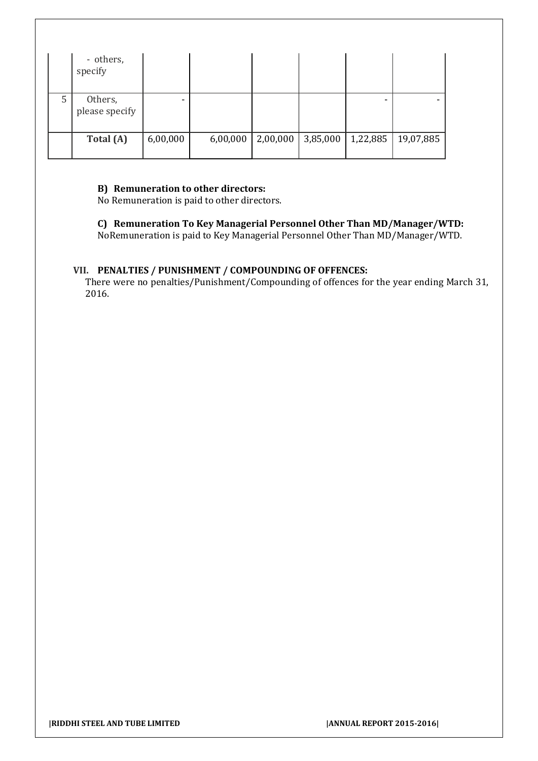|   | - others,<br>specify      |          |          |          |          |          |           |
|---|---------------------------|----------|----------|----------|----------|----------|-----------|
| 5 | Others,<br>please specify |          |          |          |          |          |           |
|   | Total (A)                 | 6,00,000 | 6,00,000 | 2,00,000 | 3,85,000 | 1,22,885 | 19,07,885 |

#### **B) Remuneration to other directors:**

No Remuneration is paid to other directors.

#### **C) Remuneration To Key Managerial Personnel Other Than MD/Manager/WTD:**

NoRemuneration is paid to Key Managerial Personnel Other Than MD/Manager/WTD.

#### **VII. PENALTIES / PUNISHMENT / COMPOUNDING OF OFFENCES:**

There were no penalties/Punishment/Compounding of offences for the year ending March 31, 2016.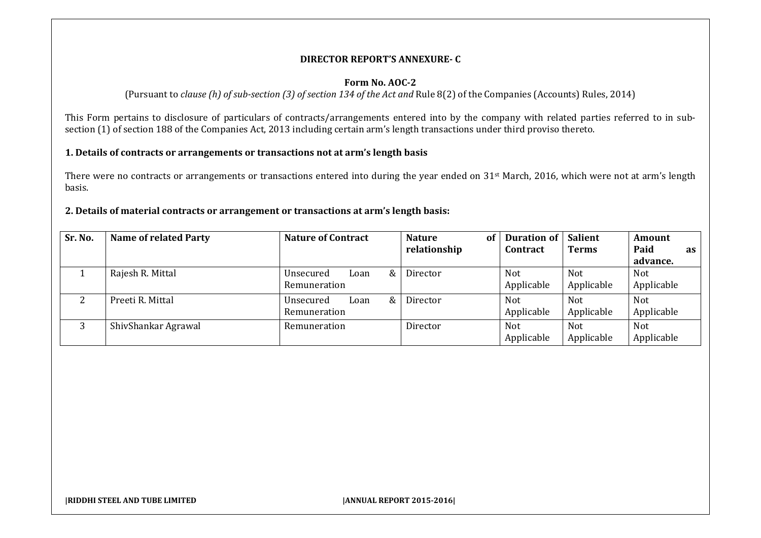#### **DIRECTOR REPORT'S ANNEXURE‐ C**

#### **Form No. AOC‐2**

(Pursuant to *clause (h) of sub‐section (3) of section 134 of the Act and* Rule 8(2) of the Companies (Accounts) Rules, 2014) 

This Form pertains to disclosure of particulars of contracts/arrangements entered into by the company with related parties referred to in subsection (1) of section 188 of the Companies Act, 2013 including certain arm's length transactions under third proviso thereto.

#### **1. Details of contracts or arrangements or transactions not at arm's length basis**

There were no contracts or arrangements or transactions entered into during the year ended on 31<sup>st</sup> March, 2016, which were not at arm's length basis. 

#### **2. Details of material contracts or arrangement or transactions at arm's length basis:**

| Sr. No. | <b>Name of related Party</b> | <b>Nature of Contract</b> | <b>Nature</b><br>of | <b>Duration of</b> | <b>Salient</b> | Amount     |
|---------|------------------------------|---------------------------|---------------------|--------------------|----------------|------------|
|         |                              |                           | relationship        | <b>Contract</b>    | <b>Terms</b>   | Paid<br>as |
|         |                              |                           |                     |                    |                | advance.   |
|         | Rajesh R. Mittal             | &<br>Loan<br>Unsecured    | Director            | Not                | Not            | <b>Not</b> |
|         |                              | Remuneration              |                     | Applicable         | Applicable     | Applicable |
| n       | Preeti R. Mittal             | &<br>Unsecured<br>Loan    | Director            | Not                | Not            | <b>Not</b> |
|         |                              | Remuneration              |                     | Applicable         | Applicable     | Applicable |
|         | ShivShankar Agrawal          | Remuneration              | Director            | Not                | Not            | <b>Not</b> |
|         |                              |                           |                     | Applicable         | Applicable     | Applicable |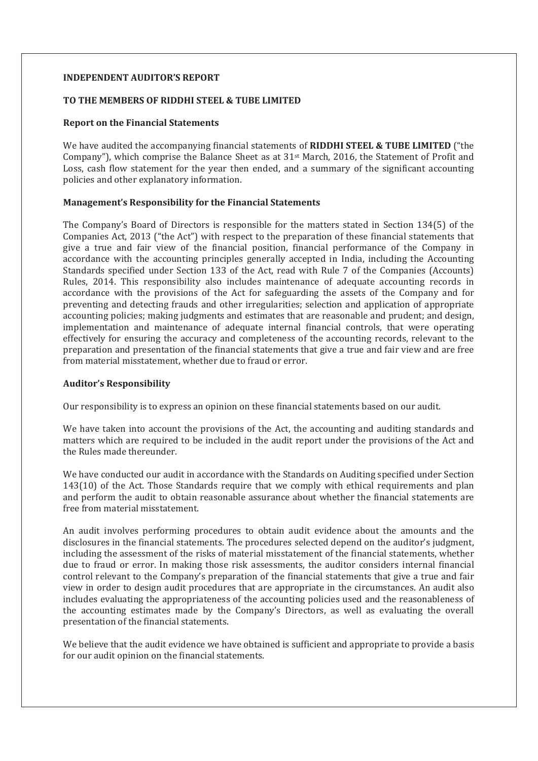#### **INDEPENDENT AUDITOR'S REPORT**

#### **TO THE MEMBERS OF RIDDHI STEEL & TUBE LIMITED**

#### **Report on the Financial Statements**

We have audited the accompanying financial statements of **RIDDHI STEEL & TUBE LIMITED** ("the Company"), which comprise the Balance Sheet as at 31<sup>st</sup> March, 2016, the Statement of Profit and Loss, cash flow statement for the year then ended, and a summary of the significant accounting policies and other explanatory information.

#### **Management's Responsibility for the Financial Statements**

The Company's Board of Directors is responsible for the matters stated in Section 134(5) of the Companies Act, 2013 ("the Act") with respect to the preparation of these financial statements that give a true and fair view of the financial position, financial performance of the Company in accordance with the accounting principles generally accepted in India, including the Accounting Standards specified under Section 133 of the Act, read with Rule 7 of the Companies (Accounts) Rules, 2014. This responsibility also includes maintenance of adequate accounting records in accordance with the provisions of the Act for safeguarding the assets of the Company and for preventing and detecting frauds and other irregularities; selection and application of appropriate accounting policies; making judgments and estimates that are reasonable and prudent; and design, implementation and maintenance of adequate internal financial controls, that were operating effectively for ensuring the accuracy and completeness of the accounting records, relevant to the preparation and presentation of the financial statements that give a true and fair view and are free from material misstatement, whether due to fraud or error.

#### **Auditor's Responsibility**

Our responsibility is to express an opinion on these financial statements based on our audit.

We have taken into account the provisions of the Act, the accounting and auditing standards and matters which are required to be included in the audit report under the provisions of the Act and the Rules made thereunder.

We have conducted our audit in accordance with the Standards on Auditing specified under Section 143(10) of the Act. Those Standards require that we comply with ethical requirements and plan and perform the audit to obtain reasonable assurance about whether the financial statements are free from material misstatement.

An audit involves performing procedures to obtain audit evidence about the amounts and the disclosures in the financial statements. The procedures selected depend on the auditor's judgment, including the assessment of the risks of material misstatement of the financial statements, whether due to fraud or error. In making those risk assessments, the auditor considers internal financial control relevant to the Company's preparation of the financial statements that give a true and fair view in order to design audit procedures that are appropriate in the circumstances. An audit also includes evaluating the appropriateness of the accounting policies used and the reasonableness of the accounting estimates made by the Company's Directors, as well as evaluating the overall presentation of the financial statements.

We believe that the audit evidence we have obtained is sufficient and appropriate to provide a basis for our audit opinion on the financial statements.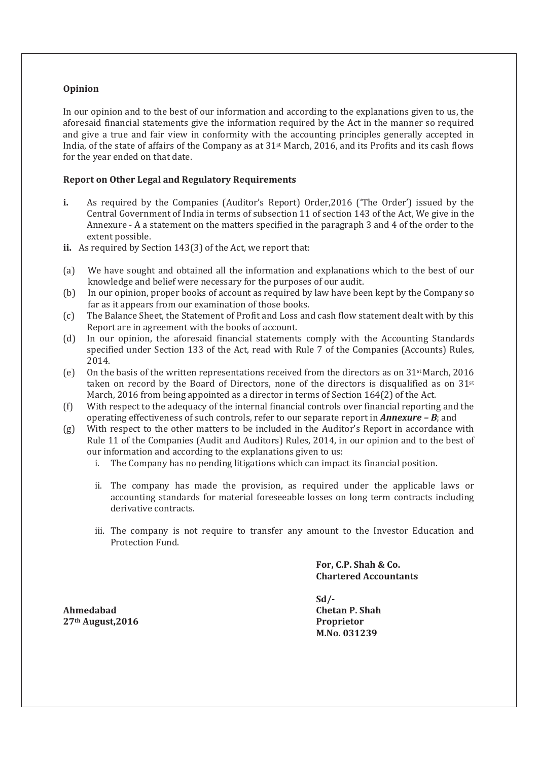#### **Opinion**

In our opinion and to the best of our information and according to the explanations given to us, the aforesaid financial statements give the information required by the Act in the manner so required and give a true and fair view in conformity with the accounting principles generally accepted in India, of the state of affairs of the Company as at 31<sup>st</sup> March, 2016, and its Profits and its cash flows for the year ended on that date.

#### **Report on Other Legal and Regulatory Requirements**

- **i.** As required by the Companies (Auditor's Report) Order, 2016 ('The Order') issued by the Central Government of India in terms of subsection 11 of section 143 of the Act, We give in the Annexure - A a statement on the matters specified in the paragraph 3 and 4 of the order to the extent possible.
- **ii.** As required by Section 143(3) of the Act, we report that:
- (a) We have sought and obtained all the information and explanations which to the best of our knowledge and belief were necessary for the purposes of our audit.
- (b) In our opinion, proper books of account as required by law have been kept by the Company so far as it appears from our examination of those books.
- (c) The Balance Sheet, the Statement of Profit and Loss and cash flow statement dealt with by this Report are in agreement with the books of account.
- (d) In our opinion, the aforesaid financial statements comply with the Accounting Standards specified under Section 133 of the Act, read with Rule 7 of the Companies (Accounts) Rules, 2014.
- (e) On the basis of the written representations received from the directors as on  $31$ <sup>st</sup> March, 2016 taken on record by the Board of Directors, none of the directors is disqualified as on  $31<sup>st</sup>$ March, 2016 from being appointed as a director in terms of Section 164(2) of the Act.
- (f) With respect to the adequacy of the internal financial controls over financial reporting and the operating effectiveness of such controls, refer to our separate report in **Annexure**  $- B$ ; and
- (g) With respect to the other matters to be included in the Auditor's Report in accordance with Rule 11 of the Companies (Audit and Auditors) Rules, 2014, in our opinion and to the best of our information and according to the explanations given to us:
	- i. The Company has no pending litigations which can impact its financial position.
	- ii. The company has made the provision, as required under the applicable laws or accounting standards for material foreseeable losses on long term contracts including derivative contracts
	- iii. The company is not require to transfer any amount to the Investor Education and Protection Fund

**For, C.P. Shah & Co. Chartered Accountants**

**Ahmedabad Chetan P. Shah 27th August,2016 Proprietor**

 **Sd/Ǧ M.No. 031239**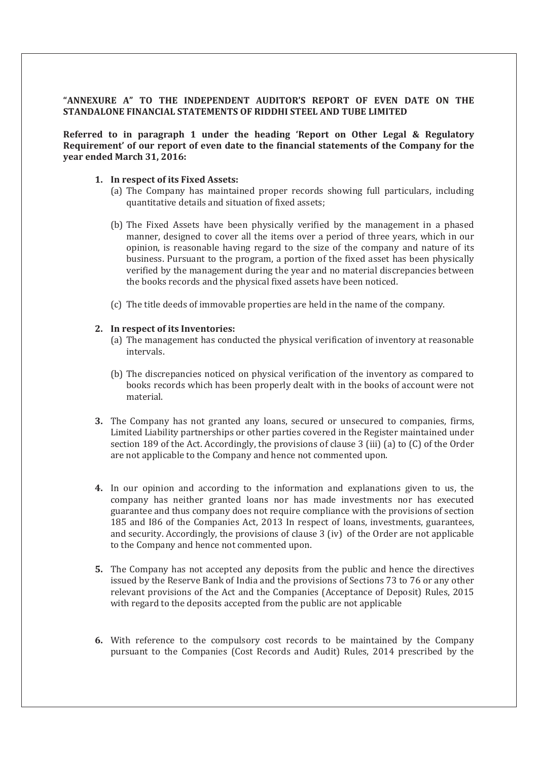#### **"ANNEXURE A" TO THE INDEPENDENT AUDITOR'S REPORT OF EVEN DATE ON THE STANDALONE FINANCIAL STATEMENTS OF RIDDHI STEEL AND TUBE LIMITED**

**Referred to in paragraph 1 under the heading 'Report on Other Legal & Regulatory Requirement' of our report of even date to the financial statements of the Company for the year ended March 31, 2016:**

#### **1. In respect of its Fixed Assets:**

- (a) The Company has maintained proper records showing full particulars, including quantitative details and situation of fixed assets;
- (b) The Fixed Assets have been physically verified by the management in a phased manner, designed to cover all the items over a period of three years, which in our opinion, is reasonable having regard to the size of the company and nature of its business. Pursuant to the program, a portion of the fixed asset has been physically verified by the management during the year and no material discrepancies between the books records and the physical fixed assets have been noticed.
- (c) The title deeds of immovable properties are held in the name of the company.

#### **2. In respect of its Inventories:**

- (a) The management has conducted the physical verification of inventory at reasonable intervals.
- (b) The discrepancies noticed on physical verification of the inventory as compared to books records which has been properly dealt with in the books of account were not material
- **3.** The Company has not granted any loans, secured or unsecured to companies, firms, Limited Liability partnerships or other parties covered in the Register maintained under section 189 of the Act. Accordingly, the provisions of clause 3 (iii) (a) to (C) of the Order are not applicable to the Company and hence not commented upon.
- 4. In our opinion and according to the information and explanations given to us, the company has neither granted loans nor has made investments nor has executed guarantee and thus company does not require compliance with the provisions of section 185 and 186 of the Companies Act, 2013 In respect of loans, investments, guarantees, and security. Accordingly, the provisions of clause 3 (iv) of the Order are not applicable to the Company and hence not commented upon.
- **5.** The Company has not accepted any deposits from the public and hence the directives issued by the Reserve Bank of India and the provisions of Sections 73 to 76 or any other relevant provisions of the Act and the Companies (Acceptance of Deposit) Rules, 2015 with regard to the deposits accepted from the public are not applicable
- 6. With reference to the compulsory cost records to be maintained by the Company pursuant to the Companies (Cost Records and Audit) Rules, 2014 prescribed by the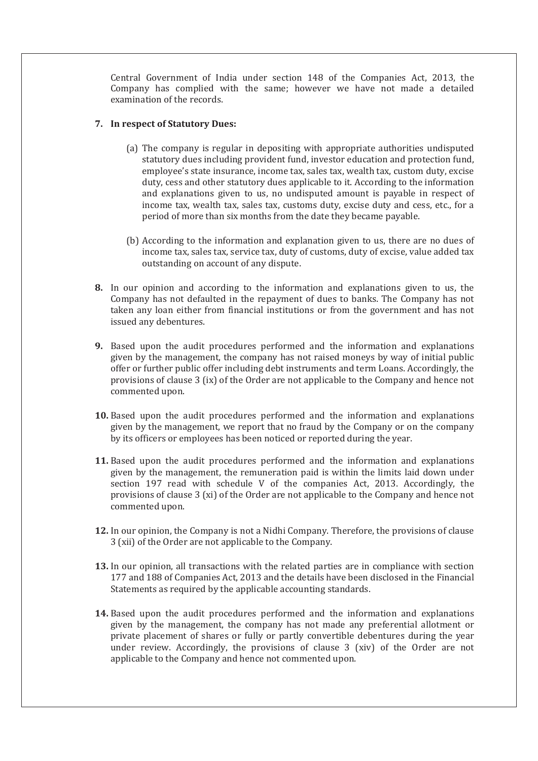Central Government of India under section 148 of the Companies Act, 2013, the Company has complied with the same: however we have not made a detailed examination of the records.

#### **7. In respect of Statutory Dues:**

- (a) The company is regular in depositing with appropriate authorities undisputed statutory dues including provident fund, investor education and protection fund, employee's state insurance, income tax, sales tax, wealth tax, custom duty, excise duty, cess and other statutory dues applicable to it. According to the information and explanations given to us, no undisputed amount is payable in respect of income tax, wealth tax, sales tax, customs duty, excise duty and cess, etc., for a period of more than six months from the date they became payable.
- (b) According to the information and explanation given to us, there are no dues of income tax, sales tax, service tax, duty of customs, duty of excise, value added tax outstanding on account of any dispute.
- **8.** In our opinion and according to the information and explanations given to us, the Company has not defaulted in the repayment of dues to banks. The Company has not taken any loan either from financial institutions or from the government and has not issued any debentures.
- **9.** Based upon the audit procedures performed and the information and explanations given by the management, the company has not raised moneys by way of initial public offer or further public offer including debt instruments and term Loans. Accordingly, the provisions of clause 3 (ix) of the Order are not applicable to the Company and hence not commented upon.
- **10.** Based upon the audit procedures performed and the information and explanations given by the management, we report that no fraud by the Company or on the company by its officers or employees has been noticed or reported during the year.
- **11.** Based upon the audit procedures performed and the information and explanations given by the management, the remuneration paid is within the limits laid down under section 197 read with schedule V of the companies Act, 2013. Accordingly, the provisions of clause 3 (xi) of the Order are not applicable to the Company and hence not commented upon.
- 12. In our opinion, the Company is not a Nidhi Company. Therefore, the provisions of clause 3 (xii) of the Order are not applicable to the Company.
- 13. In our opinion, all transactions with the related parties are in compliance with section 177 and 188 of Companies Act, 2013 and the details have been disclosed in the Financial Statements as required by the applicable accounting standards.
- **14.** Based upon the audit procedures performed and the information and explanations given by the management, the company has not made any preferential allotment or private placement of shares or fully or partly convertible debentures during the year under review. Accordingly, the provisions of clause 3 (xiv) of the Order are not applicable to the Company and hence not commented upon.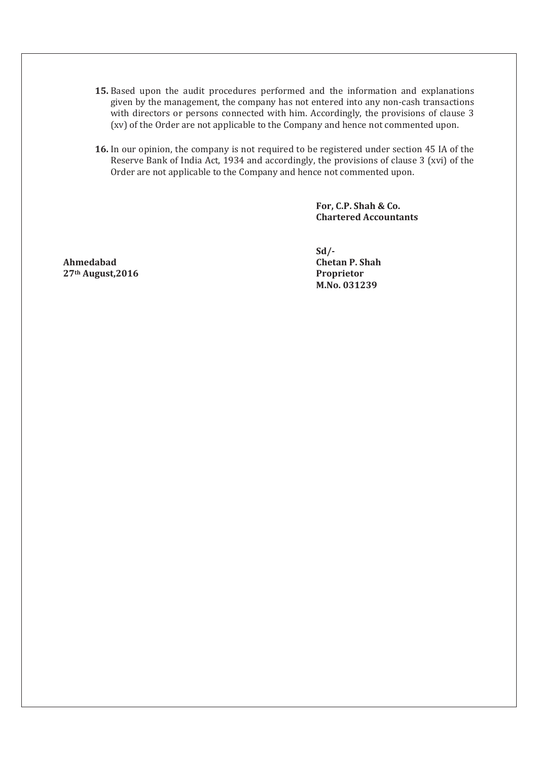- **15.** Based upon the audit procedures performed and the information and explanations given by the management, the company has not entered into any non-cash transactions with directors or persons connected with him. Accordingly, the provisions of clause 3 (xv) of the Order are not applicable to the Company and hence not commented upon.
- 16. In our opinion, the company is not required to be registered under section 45 IA of the Reserve Bank of India Act, 1934 and accordingly, the provisions of clause 3 (xvi) of the Order are not applicable to the Company and hence not commented upon.

**For, C.P. Shah & Co. Chartered Accountants**

**27th August,2016 Proprietor**

 **Sd/Ǧ Ahmedabad Chetan P. Shah M.No. 031239**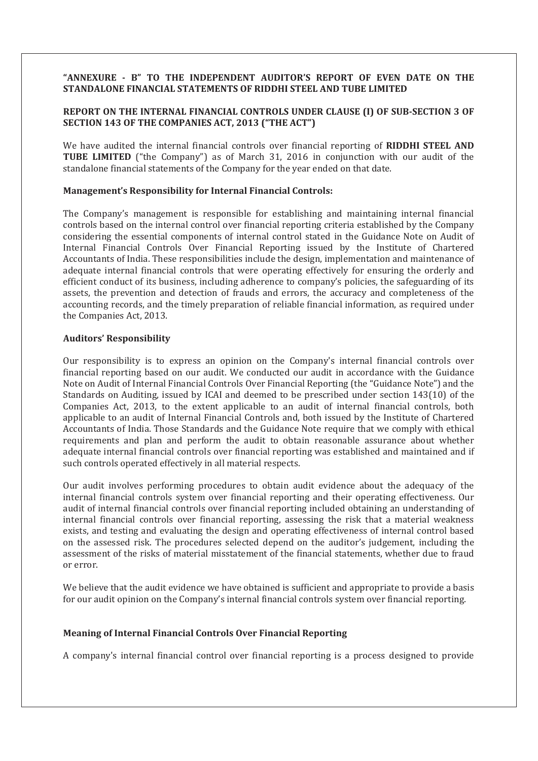#### **"ANNEXURE Ǧ B" TO THE INDEPENDENT AUDITOR'S REPORT OF EVEN DATE ON THE STANDALONE FINANCIAL STATEMENTS OF RIDDHI STEEL AND TUBE LIMITED**

#### **REPORT ON THE INTERNAL FINANCIAL CONTROLS UNDER CLAUSE (I) OF SUBǦSECTION 3 OF SECTION 143 OF THE COMPANIES ACT, 2013 ("THE ACT")**

We have audited the internal financial controls over financial reporting of **RIDDHI STEEL AND TUBE LIMITED** ("the Company") as of March 31, 2016 in conjunction with our audit of the standalone financial statements of the Company for the year ended on that date.

#### **Management's Responsibility for Internal Financial Controls:**

The Company's management is responsible for establishing and maintaining internal financial controls based on the internal control over financial reporting criteria established by the Company considering the essential components of internal control stated in the Guidance Note on Audit of Internal Financial Controls Over Financial Reporting issued by the Institute of Chartered Accountants of India. These responsibilities include the design, implementation and maintenance of adequate internal financial controls that were operating effectively for ensuring the orderly and efficient conduct of its business, including adherence to company's policies, the safeguarding of its assets, the prevention and detection of frauds and errors, the accuracy and completeness of the accounting records, and the timely preparation of reliable financial information, as required under the Companies Act, 2013.

#### **Auditors' Responsibility**

Our responsibility is to express an opinion on the Company's internal financial controls over financial reporting based on our audit. We conducted our audit in accordance with the Guidance Note on Audit of Internal Financial Controls Over Financial Reporting (the "Guidance Note") and the Standards on Auditing, issued by ICAI and deemed to be prescribed under section 143(10) of the Companies Act, 2013, to the extent applicable to an audit of internal financial controls, both applicable to an audit of Internal Financial Controls and, both issued by the Institute of Chartered Accountants of India. Those Standards and the Guidance Note require that we comply with ethical requirements and plan and perform the audit to obtain reasonable assurance about whether adequate internal financial controls over financial reporting was established and maintained and if such controls operated effectively in all material respects.

Our audit involves performing procedures to obtain audit evidence about the adequacy of the internal financial controls system over financial reporting and their operating effectiveness. Our audit of internal financial controls over financial reporting included obtaining an understanding of internal financial controls over financial reporting, assessing the risk that a material weakness exists, and testing and evaluating the design and operating effectiveness of internal control based on the assessed risk. The procedures selected depend on the auditor's judgement, including the assessment of the risks of material misstatement of the financial statements, whether due to fraud or error

We believe that the audit evidence we have obtained is sufficient and appropriate to provide a basis for our audit opinion on the Company's internal financial controls system over financial reporting.

#### **Meaning of Internal Financial Controls Over Financial Reporting**

A company's internal financial control over financial reporting is a process designed to provide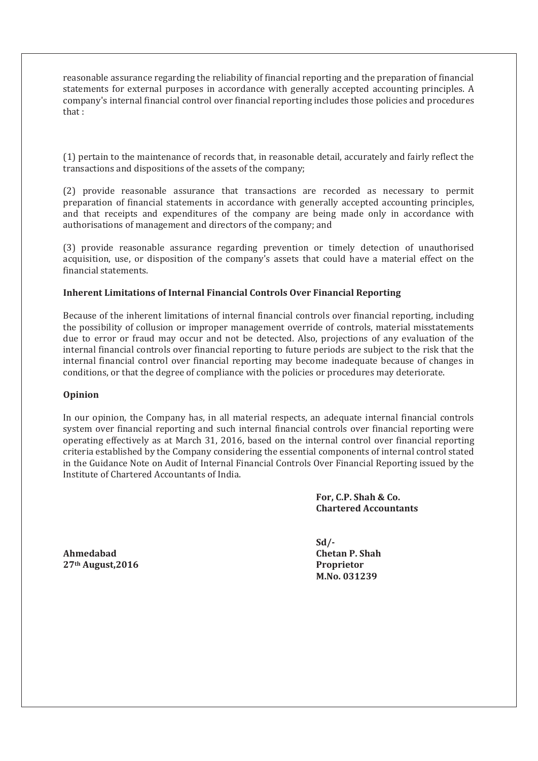reasonable assurance regarding the reliability of financial reporting and the preparation of financial statements for external purposes in accordance with generally accepted accounting principles. A company's internal financial control over financial reporting includes those policies and procedures that:

(1) pertain to the maintenance of records that, in reasonable detail, accurately and fairly reflect the transactions and dispositions of the assets of the company;

(2) provide reasonable assurance that transactions are recorded as necessary to permit preparation of financial statements in accordance with generally accepted accounting principles, and that receipts and expenditures of the company are being made only in accordance with authorisations of management and directors of the company; and

(3) provide reasonable assurance regarding prevention or timely detection of unauthorised acquisition, use, or disposition of the company's assets that could have a material effect on the financial statements.

#### **Inherent Limitations of Internal Financial Controls Over Financial Reporting**

Because of the inherent limitations of internal financial controls over financial reporting, including the possibility of collusion or improper management override of controls, material misstatements due to error or fraud may occur and not be detected. Also, projections of any evaluation of the internal financial controls over financial reporting to future periods are subject to the risk that the internal financial control over financial reporting may become inadequate because of changes in conditions, or that the degree of compliance with the policies or procedures may deteriorate.

#### **Opinion**

In our opinion, the Company has, in all material respects, an adequate internal financial controls system over financial reporting and such internal financial controls over financial reporting were operating effectively as at March 31, 2016, based on the internal control over financial reporting criteria established by the Company considering the essential components of internal control stated in the Guidance Note on Audit of Internal Financial Controls Over Financial Reporting issued by the Institute of Chartered Accountants of India.

> **For, C.P. Shah & Co. Chartered Accountants**

**Ahmedabad Chetan P. Shah 27th August,2016 Proprietor**

 **Sd/Ǧ M.No. 031239**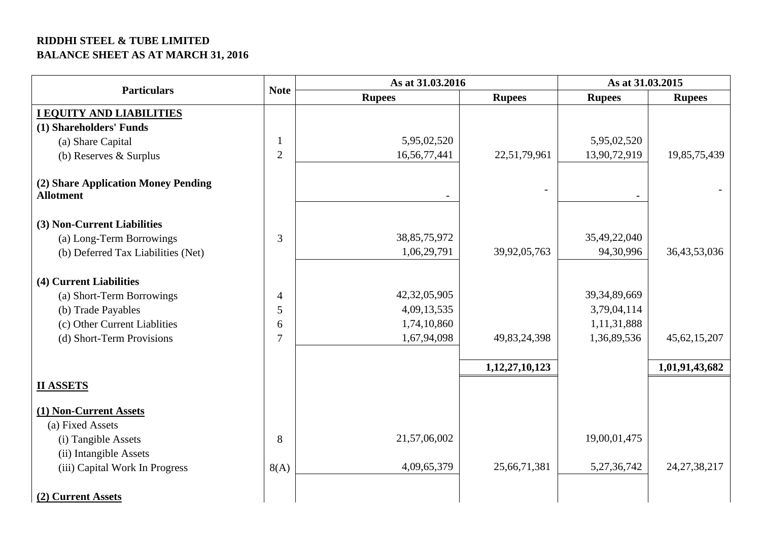# **RIDDHI STEEL & TUBE LIMITED BALANCE SHEET AS AT MARCH 31, 2016**

| <b>Particulars</b>                                      | <b>Note</b>    |                 | As at 31.03.2016 |                 | As at 31.03.2015 |
|---------------------------------------------------------|----------------|-----------------|------------------|-----------------|------------------|
|                                                         |                | <b>Rupees</b>   | <b>Rupees</b>    | <b>Rupees</b>   | <b>Rupees</b>    |
| <b>I EQUITY AND LIABILITIES</b>                         |                |                 |                  |                 |                  |
| (1) Shareholders' Funds                                 |                |                 |                  |                 |                  |
| (a) Share Capital                                       | -1             | 5,95,02,520     |                  | 5,95,02,520     |                  |
| (b) Reserves & Surplus                                  | $\overline{2}$ | 16,56,77,441    | 22,51,79,961     | 13,90,72,919    | 19,85,75,439     |
| (2) Share Application Money Pending<br><b>Allotment</b> |                |                 |                  |                 |                  |
| (3) Non-Current Liabilities                             |                |                 |                  |                 |                  |
| (a) Long-Term Borrowings                                | 3              | 38, 85, 75, 972 |                  | 35,49,22,040    |                  |
| (b) Deferred Tax Liabilities (Net)                      |                | 1,06,29,791     | 39,92,05,763     | 94,30,996       | 36, 43, 53, 036  |
|                                                         |                |                 |                  |                 |                  |
| (4) Current Liabilities                                 |                |                 |                  |                 |                  |
| (a) Short-Term Borrowings                               | $\overline{4}$ | 42,32,05,905    |                  | 39, 34, 89, 669 |                  |
| (b) Trade Payables                                      | 5              | 4,09,13,535     |                  | 3,79,04,114     |                  |
| (c) Other Current Liablities                            | 6              | 1,74,10,860     |                  | 1,11,31,888     |                  |
| (d) Short-Term Provisions                               | $\overline{7}$ | 1,67,94,098     | 49,83,24,398     | 1,36,89,536     | 45, 62, 15, 207  |
|                                                         |                |                 |                  |                 |                  |
|                                                         |                |                 | 1,12,27,10,123   |                 | 1,01,91,43,682   |
| <b>II ASSETS</b>                                        |                |                 |                  |                 |                  |
| (1) Non-Current Assets                                  |                |                 |                  |                 |                  |
| (a) Fixed Assets                                        |                |                 |                  |                 |                  |
| (i) Tangible Assets                                     | 8              | 21,57,06,002    |                  | 19,00,01,475    |                  |
| (ii) Intangible Assets                                  |                |                 |                  |                 |                  |
| (iii) Capital Work In Progress                          | 8(A)           | 4,09,65,379     | 25,66,71,381     | 5, 27, 36, 742  | 24, 27, 38, 217  |
| (2) Current Assets                                      |                |                 |                  |                 |                  |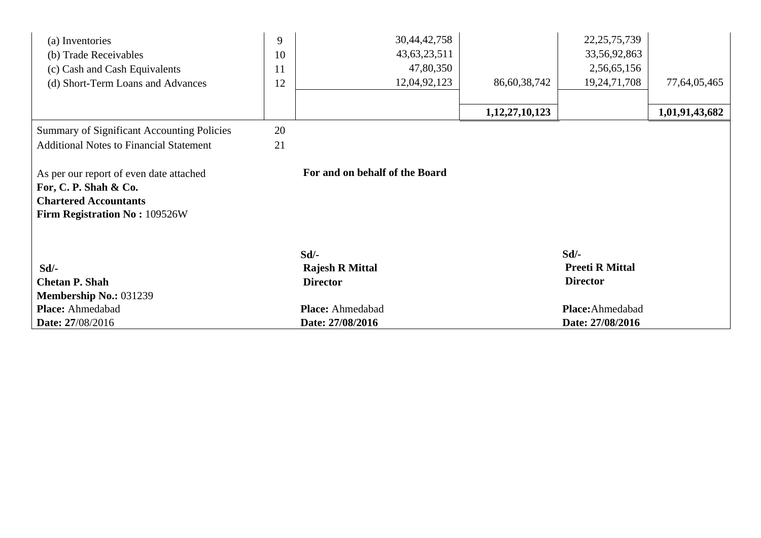| (a) Inventories                                                                                                                    | 9  | 30,44,42,758            |                | 22, 25, 75, 739        |                |  |
|------------------------------------------------------------------------------------------------------------------------------------|----|-------------------------|----------------|------------------------|----------------|--|
| (b) Trade Receivables                                                                                                              | 10 | 43, 63, 23, 511         |                | 33, 56, 92, 863        |                |  |
| (c) Cash and Cash Equivalents                                                                                                      | 11 | 47,80,350               |                | 2,56,65,156            |                |  |
| (d) Short-Term Loans and Advances                                                                                                  | 12 | 12,04,92,123            | 86,60,38,742   | 19, 24, 71, 708        | 77,64,05,465   |  |
|                                                                                                                                    |    |                         |                |                        |                |  |
|                                                                                                                                    |    |                         | 1,12,27,10,123 |                        | 1,01,91,43,682 |  |
| <b>Summary of Significant Accounting Policies</b>                                                                                  | 20 |                         |                |                        |                |  |
| <b>Additional Notes to Financial Statement</b>                                                                                     | 21 |                         |                |                        |                |  |
| For and on behalf of the Board<br>As per our report of even date attached<br>For, C. P. Shah & Co.<br><b>Chartered Accountants</b> |    |                         |                |                        |                |  |
| Firm Registration No: 109526W                                                                                                      |    |                         |                |                        |                |  |
|                                                                                                                                    |    | $Sd$ /-                 |                | $Sd$ /-                |                |  |
| $Sd$ /-                                                                                                                            |    | <b>Rajesh R Mittal</b>  |                | <b>Preeti R Mittal</b> |                |  |
| <b>Chetan P. Shah</b>                                                                                                              |    | <b>Director</b>         |                | <b>Director</b>        |                |  |
| <b>Membership No.: 031239</b>                                                                                                      |    |                         |                |                        |                |  |
| <b>Place:</b> Ahmedabad                                                                                                            |    | <b>Place:</b> Ahmedabad |                | Place: Ahmedabad       |                |  |
| Date: 27/08/2016                                                                                                                   |    | Date: 27/08/2016        |                | Date: 27/08/2016       |                |  |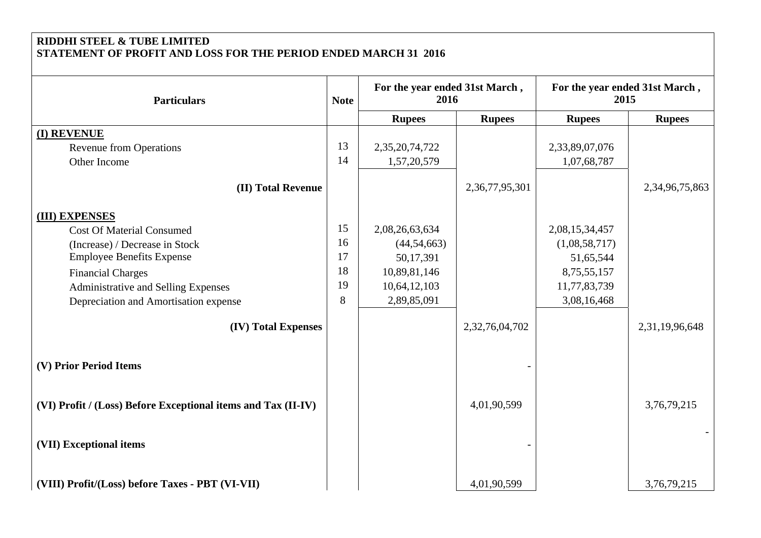# **RIDDHI STEEL & TUBE LIMITED STATEMENT OF PROFIT AND LOSS FOR THE PERIOD ENDED MARCH 31 2016**

| <b>Particulars</b><br><b>Note</b>                             |    | For the year ended 31st March,<br>2016 |                | For the year ended 31st March,<br>2015 |                |
|---------------------------------------------------------------|----|----------------------------------------|----------------|----------------------------------------|----------------|
|                                                               |    | <b>Rupees</b>                          | <b>Rupees</b>  | <b>Rupees</b>                          | <b>Rupees</b>  |
| (I) REVENUE                                                   |    |                                        |                |                                        |                |
| <b>Revenue from Operations</b>                                | 13 | 2,35,20,74,722                         |                | 2,33,89,07,076                         |                |
| Other Income                                                  | 14 | 1,57,20,579                            |                | 1,07,68,787                            |                |
| (II) Total Revenue                                            |    |                                        | 2,36,77,95,301 |                                        | 2,34,96,75,863 |
| (III) EXPENSES                                                |    |                                        |                |                                        |                |
| <b>Cost Of Material Consumed</b>                              | 15 | 2,08,26,63,634                         |                | 2,08,15,34,457                         |                |
| (Increase) / Decrease in Stock                                | 16 | (44, 54, 663)                          |                | (1,08,58,717)                          |                |
| <b>Employee Benefits Expense</b>                              | 17 | 50,17,391                              |                | 51,65,544                              |                |
| <b>Financial Charges</b>                                      | 18 | 10,89,81,146                           |                | 8,75,55,157                            |                |
| Administrative and Selling Expenses                           | 19 | 10,64,12,103                           |                | 11,77,83,739                           |                |
| Depreciation and Amortisation expense                         | 8  | 2,89,85,091                            |                | 3,08,16,468                            |                |
| (IV) Total Expenses                                           |    |                                        | 2,32,76,04,702 |                                        | 2,31,19,96,648 |
| (V) Prior Period Items                                        |    |                                        |                |                                        |                |
| (VI) Profit / (Loss) Before Exceptional items and Tax (II-IV) |    |                                        | 4,01,90,599    |                                        | 3,76,79,215    |
| (VII) Exceptional items                                       |    |                                        |                |                                        |                |
| (VIII) Profit/(Loss) before Taxes - PBT (VI-VII)              |    |                                        | 4,01,90,599    |                                        | 3,76,79,215    |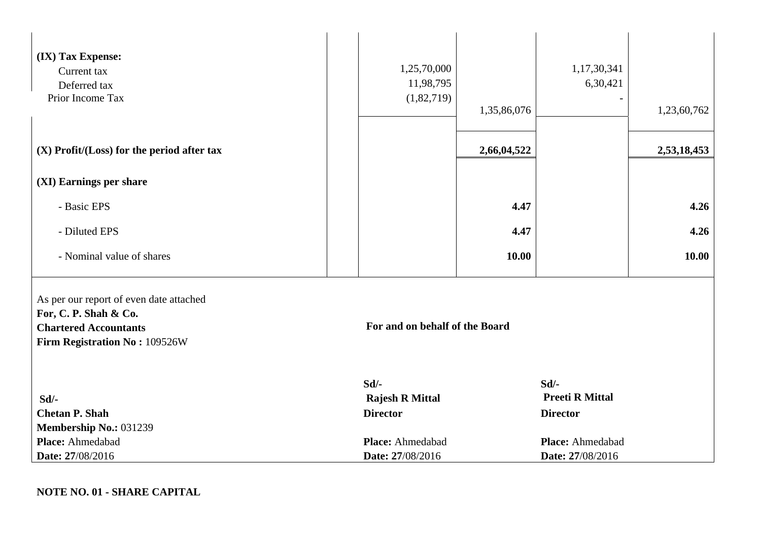| (IX) Tax Expense:<br>Current tax<br>Deferred tax<br>Prior Income Tax                                                              | 1,25,70,000<br>11,98,795<br>(1,82,719) | 1,35,86,076 | 1,17,30,341<br>6,30,421 | 1,23,60,762 |  |
|-----------------------------------------------------------------------------------------------------------------------------------|----------------------------------------|-------------|-------------------------|-------------|--|
| (X) Profit/(Loss) for the period after tax                                                                                        |                                        | 2,66,04,522 |                         | 2,53,18,453 |  |
| (XI) Earnings per share                                                                                                           |                                        |             |                         |             |  |
| - Basic EPS                                                                                                                       |                                        | 4.47        |                         | 4.26        |  |
| - Diluted EPS                                                                                                                     |                                        | 4.47        |                         | 4.26        |  |
| - Nominal value of shares                                                                                                         |                                        | 10.00       |                         | 10.00       |  |
| As per our report of even date attached<br>For, C. P. Shah & Co.<br><b>Chartered Accountants</b><br>Firm Registration No: 109526W | For and on behalf of the Board         |             |                         |             |  |
|                                                                                                                                   | $Sd$ .                                 |             | $Sd$ .                  |             |  |
| Sd/-                                                                                                                              | <b>Rajesh R Mittal</b>                 |             | <b>Preeti R Mittal</b>  |             |  |
| <b>Chetan P. Shah</b><br>Membership No.: 031239                                                                                   | <b>Director</b>                        |             | <b>Director</b>         |             |  |
| Place: Ahmedabad                                                                                                                  | <b>Place:</b> Ahmedabad                |             | Place: Ahmedabad        |             |  |
| Date: 27/08/2016                                                                                                                  | Date: 27/08/2016                       |             | Date: 27/08/2016        |             |  |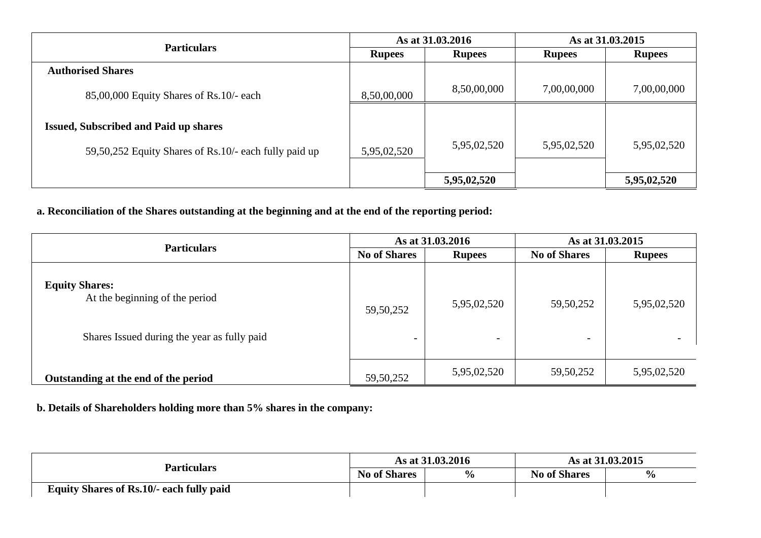| <b>Particulars</b>                                    |               | As at 31.03.2016 | As at 31.03.2015 |               |
|-------------------------------------------------------|---------------|------------------|------------------|---------------|
|                                                       | <b>Rupees</b> | <b>Rupees</b>    | <b>Rupees</b>    | <b>Rupees</b> |
| <b>Authorised Shares</b>                              |               |                  |                  |               |
| 85,00,000 Equity Shares of Rs.10/- each               | 8,50,00,000   | 8,50,00,000      | 7,00,00,000      | 7,00,00,000   |
| <b>Issued, Subscribed and Paid up shares</b>          |               | 5,95,02,520      | 5,95,02,520      | 5,95,02,520   |
| 59,50,252 Equity Shares of Rs.10/- each fully paid up | 5,95,02,520   |                  |                  |               |
|                                                       |               | 5,95,02,520      |                  | 5,95,02,520   |

**a. Reconciliation of the Shares outstanding at the beginning and at the end of the reporting period:** 

|                                                                                                        |                     | As at 31.03.2016 | As at 31.03.2015                        |               |
|--------------------------------------------------------------------------------------------------------|---------------------|------------------|-----------------------------------------|---------------|
| <b>Particulars</b>                                                                                     | <b>No of Shares</b> | <b>Rupees</b>    | <b>No of Shares</b>                     | <b>Rupees</b> |
| <b>Equity Shares:</b><br>At the beginning of the period<br>Shares Issued during the year as fully paid | 59,50,252           | 5,95,02,520      | 59, 50, 252<br>$\overline{\phantom{a}}$ | 5,95,02,520   |
| Outstanding at the end of the period                                                                   | 59, 50, 252         | 5,95,02,520      | 59, 50, 252                             | 5,95,02,520   |

**b. Details of Shareholders holding more than 5% shares in the company:** 

| <b>Particulars</b>                              |                     | As at 31.03.2016 | As at 31.03.2015    |               |
|-------------------------------------------------|---------------------|------------------|---------------------|---------------|
|                                                 | <b>No of Shares</b> | $\frac{6}{6}$    | <b>No of Shares</b> | $\frac{6}{9}$ |
| <b>Equity Shares of Rs.10/- each fully paid</b> |                     |                  |                     |               |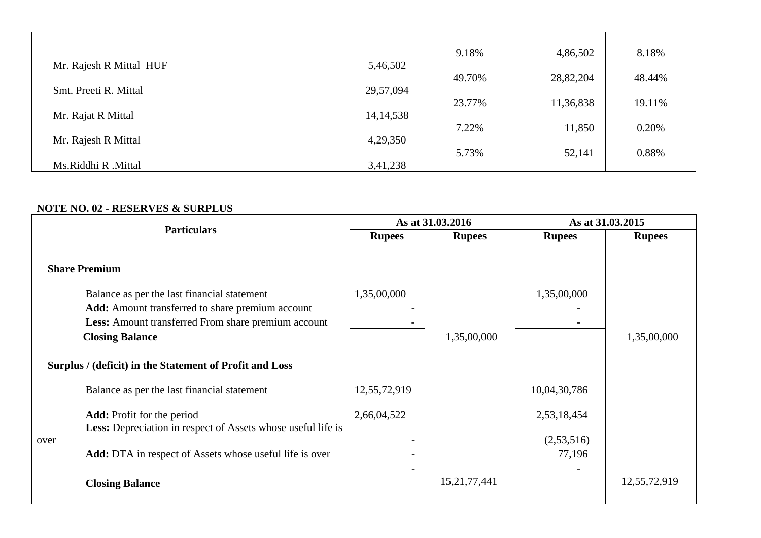|                         |             | 9.18%  | 4,86,502  | 8.18%  |
|-------------------------|-------------|--------|-----------|--------|
| Mr. Rajesh R Mittal HUF | 5,46,502    |        |           |        |
|                         |             | 49.70% | 28,82,204 | 48.44% |
| Smt. Preeti R. Mittal   | 29,57,094   |        |           |        |
| Mr. Rajat R Mittal      | 14, 14, 538 | 23.77% | 11,36,838 | 19.11% |
|                         |             | 7.22%  | 11,850    | 0.20%  |
| Mr. Rajesh R Mittal     | 4,29,350    |        |           |        |
|                         |             | 5.73%  | 52,141    | 0.88%  |
| Ms.Riddhi R.Mittal      | 3,41,238    |        |           |        |

#### **NOTE NO. 02 - RESERVES & SURPLUS**

|                        | <b>Particulars</b>                                                                                |               | As at 31.03.2016 | As at 31.03.2015          |               |
|------------------------|---------------------------------------------------------------------------------------------------|---------------|------------------|---------------------------|---------------|
|                        |                                                                                                   | <b>Rupees</b> | <b>Rupees</b>    | <b>Rupees</b>             | <b>Rupees</b> |
|                        | <b>Share Premium</b>                                                                              |               |                  |                           |               |
|                        | Balance as per the last financial statement                                                       | 1,35,00,000   |                  | 1,35,00,000               |               |
|                        | Add: Amount transferred to share premium account                                                  |               |                  |                           |               |
|                        | Less: Amount transferred From share premium account                                               |               |                  |                           |               |
| <b>Closing Balance</b> |                                                                                                   |               | 1,35,00,000      |                           | 1,35,00,000   |
|                        | Surplus / (deficit) in the Statement of Profit and Loss                                           |               |                  |                           |               |
|                        | Balance as per the last financial statement                                                       | 12,55,72,919  |                  | 10,04,30,786              |               |
|                        | <b>Add:</b> Profit for the period<br>Less: Depreciation in respect of Assets whose useful life is | 2,66,04,522   |                  | 2,53,18,454<br>(2,53,516) |               |
| over                   | Add: DTA in respect of Assets whose useful life is over                                           |               |                  | 77,196                    |               |
|                        |                                                                                                   |               |                  |                           |               |
|                        | <b>Closing Balance</b>                                                                            |               | 15,21,77,441     |                           | 12,55,72,919  |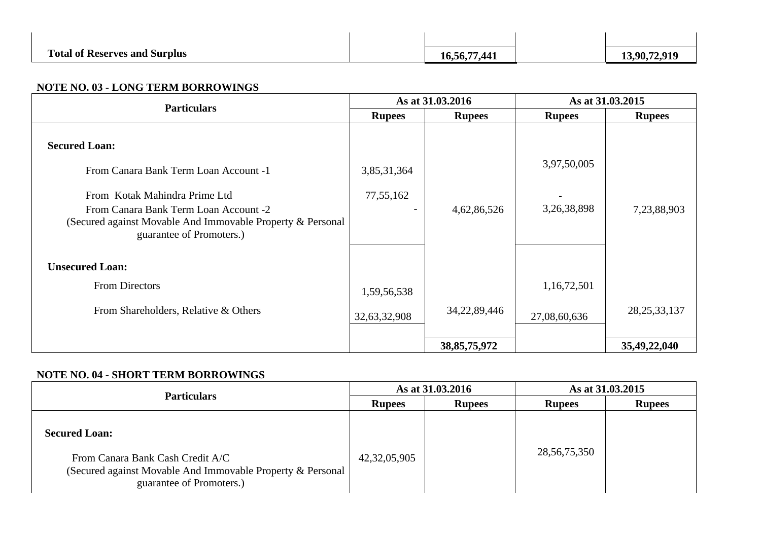| <b>Total of Reserves and Surplus</b> | ----<br>10.50.7 | $3.90,72.91$ <sup>c</sup> |
|--------------------------------------|-----------------|---------------------------|

#### **NOTE NO. 03 - LONG TERM BORROWINGS**

| <b>Particulars</b>                                                                                                                                                                                    |                             | As at 31.03.2016 | As at 31.03.2015              |                 |  |
|-------------------------------------------------------------------------------------------------------------------------------------------------------------------------------------------------------|-----------------------------|------------------|-------------------------------|-----------------|--|
|                                                                                                                                                                                                       | <b>Rupees</b>               | <b>Rupees</b>    | <b>Rupees</b>                 | <b>Rupees</b>   |  |
| <b>Secured Loan:</b><br>From Canara Bank Term Loan Account -1<br>From Kotak Mahindra Prime Ltd<br>From Canara Bank Term Loan Account -2<br>(Secured against Movable And Immovable Property & Personal | 3,85,31,364<br>77,55,162    | 4,62,86,526      | 3,97,50,005<br>3, 26, 38, 898 | 7,23,88,903     |  |
| guarantee of Promoters.)<br><b>Unsecured Loan:</b><br><b>From Directors</b><br>From Shareholders, Relative & Others                                                                                   | 1,59,56,538<br>32,63,32,908 | 34, 22, 89, 446  | 1,16,72,501<br>27,08,60,636   | 28, 25, 33, 137 |  |
|                                                                                                                                                                                                       |                             | 38, 85, 75, 972  |                               | 35,49,22,040    |  |

#### **NOTE NO. 04 - SHORT TERM BORROWINGS**

| <b>Particulars</b>                                                                                                                                   |                 | As at 31.03.2016 | As at 31.03.2015 |               |  |
|------------------------------------------------------------------------------------------------------------------------------------------------------|-----------------|------------------|------------------|---------------|--|
|                                                                                                                                                      | <b>Rupees</b>   | <b>Rupees</b>    | <b>Rupees</b>    | <b>Rupees</b> |  |
| <b>Secured Loan:</b><br>From Canara Bank Cash Credit A/C<br>(Secured against Movable And Immovable Property & Personal  <br>guarantee of Promoters.) | 42, 32, 05, 905 |                  | 28, 56, 75, 350  |               |  |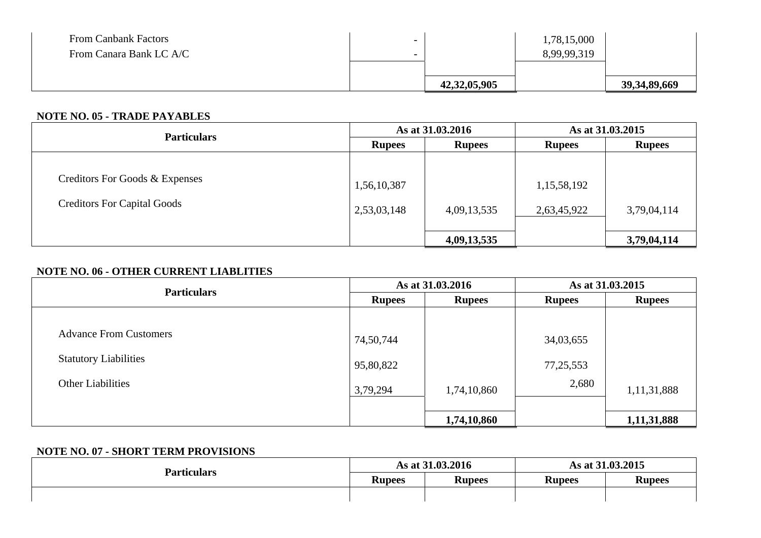|                             |                          | 42, 32, 05, 905 |             | 39, 34, 89, 669 |
|-----------------------------|--------------------------|-----------------|-------------|-----------------|
| From Canara Bank LC A/C     | $\overline{\phantom{0}}$ |                 | 8,99,99,319 |                 |
| <b>From Canbank Factors</b> | $\overline{\phantom{0}}$ |                 | 1,78,15,000 |                 |

#### **NOTE NO. 05 - TRADE PAYABLES**

| <b>Particulars</b>                                                   |                            | As at 31.03.2016 |                            | As at 31.03.2015 |
|----------------------------------------------------------------------|----------------------------|------------------|----------------------------|------------------|
|                                                                      | <b>Rupees</b>              | <b>Rupees</b>    | <b>Rupees</b>              | <b>Rupees</b>    |
| Creditors For Goods & Expenses<br><b>Creditors For Capital Goods</b> | 1,56,10,387<br>2,53,03,148 | 4,09,13,535      | 1,15,58,192<br>2,63,45,922 | 3,79,04,114      |
|                                                                      |                            | 4,09,13,535      |                            | 3,79,04,114      |

# **NOTE NO. 06 - OTHER CURRENT LIABLITIES**

| <b>Particulars</b>            |               | As at 31.03.2016 | As at 31.03.2015 |               |  |
|-------------------------------|---------------|------------------|------------------|---------------|--|
|                               | <b>Rupees</b> | <b>Rupees</b>    | <b>Rupees</b>    | <b>Rupees</b> |  |
|                               |               |                  |                  |               |  |
| <b>Advance From Customers</b> | 74,50,744     |                  | 34,03,655        |               |  |
| <b>Statutory Liabilities</b>  | 95,80,822     |                  | 77, 25, 553      |               |  |
| <b>Other Liabilities</b>      | 3,79,294      | 1,74,10,860      | 2,680            | 1,11,31,888   |  |
|                               |               |                  |                  |               |  |
|                               |               | 1,74,10,860      |                  | 1,11,31,888   |  |

### **NOTE NO. 07 - SHORT TERM PROVISIONS**

| <b>Particulars</b> |               | As at 31.03.2016 | As at 31.03.2015 |               |  |
|--------------------|---------------|------------------|------------------|---------------|--|
|                    | <b>Rupees</b> | <b>Rupees</b>    | Rupees           | <b>Rupees</b> |  |
|                    |               |                  |                  |               |  |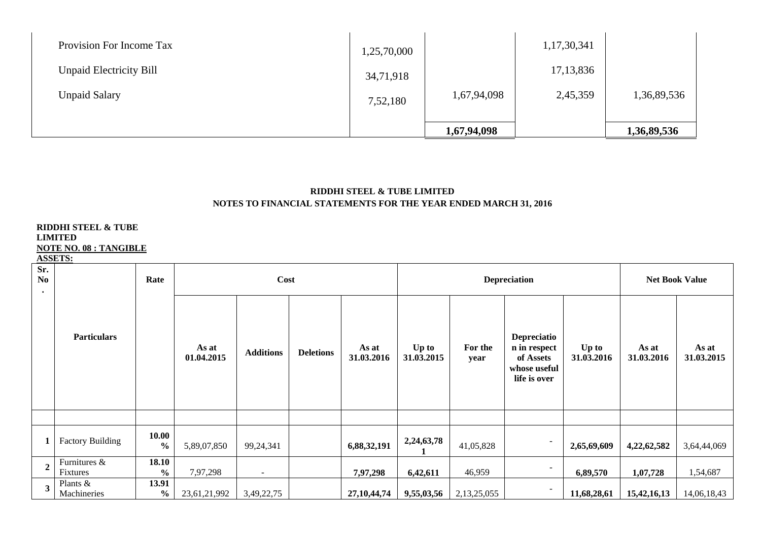| Provision For Income Tax       | 1,25,70,000 |             | 1,17,30,341 |             |
|--------------------------------|-------------|-------------|-------------|-------------|
| <b>Unpaid Electricity Bill</b> | 34,71,918   |             | 17, 13, 836 |             |
| <b>Unpaid Salary</b>           | 7,52,180    | 1,67,94,098 | 2,45,359    | 1,36,89,536 |
|                                |             | 1,67,94,098 |             | 1,36,89,536 |

#### **RIDDHI STEEL & TUBE LIMITED NOTES TO FINANCIAL STATEMENTS FOR THE YEAR ENDED MARCH 31, 2016**

| <b>ASSETS:</b><br>Sr.   | <b>RIDDHI STEEL &amp; TUBE</b><br><b>LIMITED</b><br><b>NOTE NO. 08 : TANGIBLE</b> |                        |                     |                  |                  |                     |                            |                 |                                                                          |                       |                       |                     |  |
|-------------------------|-----------------------------------------------------------------------------------|------------------------|---------------------|------------------|------------------|---------------------|----------------------------|-----------------|--------------------------------------------------------------------------|-----------------------|-----------------------|---------------------|--|
| No<br>$\bullet$         |                                                                                   | Rate                   |                     | Cost             |                  |                     |                            |                 | <b>Depreciation</b>                                                      |                       | <b>Net Book Value</b> |                     |  |
|                         | <b>Particulars</b>                                                                |                        | As at<br>01.04.2015 | <b>Additions</b> | <b>Deletions</b> | As at<br>31.03.2016 | <b>Up to</b><br>31.03.2015 | For the<br>year | Depreciatio<br>n in respect<br>of Assets<br>whose useful<br>life is over | $Up$ to<br>31.03.2016 | As at<br>31.03.2016   | As at<br>31.03.2015 |  |
|                         |                                                                                   |                        |                     |                  |                  |                     |                            |                 |                                                                          |                       |                       |                     |  |
| $\mathbf{1}$            | <b>Factory Building</b>                                                           | 10.00<br>$\frac{0}{0}$ | 5,89,07,850         | 99,24,341        |                  | 6,88,32,191         | 2,24,63,78                 | 41,05,828       |                                                                          | 2,65,69,609           | 4,22,62,582           | 3,64,44,069         |  |
| $\overline{2}$          | Furnitures &<br>Fixtures                                                          | 18.10<br>$\frac{0}{0}$ | 7,97,298            | $\sim$           |                  | 7,97,298            | 6,42,611                   | 46,959          | $\blacksquare$                                                           | 6,89,570              | 1,07,728              | 1,54,687            |  |
| $\overline{\mathbf{3}}$ | Plants &<br>Machineries                                                           | 13.91<br>$\frac{6}{6}$ | 23,61,21,992        | 3,49,22,75       |                  | 27, 10, 44, 74      | 9,55,03,56                 | 2,13,25,055     |                                                                          | 11,68,28,61           | 15,42,16,13           | 14,06,18,43         |  |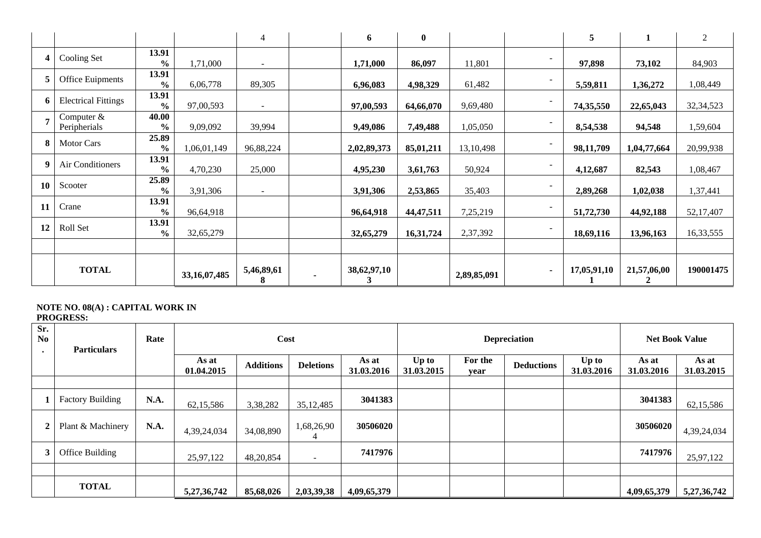|                |                              |                        |                 | $\overline{4}$           |   | 6           | $\bf{0}$    |             |                              | 5           |             | $\overline{2}$ |
|----------------|------------------------------|------------------------|-----------------|--------------------------|---|-------------|-------------|-------------|------------------------------|-------------|-------------|----------------|
| 4              | Cooling Set                  | 13.91<br>$\frac{0}{0}$ | 1,71,000        | $\sim$                   |   | 1,71,000    | 86,097      | 11,801      | $\qquad \qquad \blacksquare$ | 97,898      | 73,102      | 84,903         |
| 5              | <b>Office Euipments</b>      | 13.91<br>$\frac{0}{0}$ | 6,06,778        | 89,305                   |   | 6,96,083    | 4,98,329    | 61,482      | $\overline{\phantom{a}}$     | 5,59,811    | 1,36,272    | 1,08,449       |
| 6              | <b>Electrical Fittings</b>   | 13.91<br>$\frac{0}{0}$ | 97,00,593       | $\overline{\phantom{a}}$ |   | 97,00,593   | 64,66,070   | 9,69,480    |                              | 74,35,550   | 22,65,043   | 32, 34, 523    |
| $\overline{7}$ | Computer $&$<br>Peripherials | 40.00<br>$\frac{0}{0}$ | 9,09,092        | 39,994                   |   | 9,49,086    | 7,49,488    | 1,05,050    |                              | 8,54,538    | 94,548      | 1,59,604       |
| 8              | <b>Motor Cars</b>            | 25.89<br>$\frac{6}{6}$ | 1,06,01,149     | 96,88,224                |   | 2,02,89,373 | 85,01,211   | 13, 10, 498 |                              | 98,11,709   | 1,04,77,664 | 20,99,938      |
| 9              | Air Conditioners             | 13.91<br>$\frac{0}{0}$ | 4,70,230        | 25,000                   |   | 4,95,230    | 3,61,763    | 50,924      | $\overline{\phantom{a}}$     | 4,12,687    | 82,543      | 1,08,467       |
| 10             | Scooter                      | 25.89<br>$\frac{0}{0}$ | 3,91,306        | $\sim$                   |   | 3,91,306    | 2,53,865    | 35,403      | $\overline{\phantom{a}}$     | 2,89,268    | 1,02,038    | 1,37,441       |
| 11             | Crane                        | 13.91<br>$\frac{0}{0}$ | 96,64,918       |                          |   | 96,64,918   | 44, 47, 511 | 7,25,219    |                              | 51,72,730   | 44,92,188   | 52,17,407      |
| 12             | Roll Set                     | 13.91<br>$\frac{6}{6}$ | 32,65,279       |                          |   | 32,65,279   | 16,31,724   | 2,37,392    |                              | 18,69,116   | 13,96,163   | 16,33,555      |
|                |                              |                        |                 |                          |   |             |             |             |                              |             |             |                |
|                | <b>TOTAL</b>                 |                        | 33, 16, 07, 485 | 5,46,89,61<br>8          | ٠ | 38,62,97,10 |             | 2,89,85,091 | $\blacksquare$               | 17,05,91,10 | 21,57,06,00 | 190001475      |

### **NOTE NO. 08(A) : CAPITAL WORK IN**

**PROGRESS:** 

| Sr.<br>N <sub>0</sub><br>$\bullet$ | <b>Particulars</b>      | Rate | Cost                |                  |                          |                     |                     | <b>Depreciation</b> |                   |                     |                     | <b>Net Book Value</b> |  |
|------------------------------------|-------------------------|------|---------------------|------------------|--------------------------|---------------------|---------------------|---------------------|-------------------|---------------------|---------------------|-----------------------|--|
|                                    |                         |      | As at<br>01.04.2015 | <b>Additions</b> | <b>Deletions</b>         | As at<br>31.03.2016 | Up to<br>31.03.2015 | For the<br>year     | <b>Deductions</b> | Up to<br>31.03.2016 | As at<br>31.03.2016 | As at<br>31.03.2015   |  |
|                                    |                         |      |                     |                  |                          |                     |                     |                     |                   |                     |                     |                       |  |
|                                    | <b>Factory Building</b> | N.A. | 62,15,586           | 3,38,282         | 35, 12, 485              | 3041383             |                     |                     |                   |                     | 3041383             | 62,15,586             |  |
|                                    | Plant & Machinery       | N.A. | 4,39,24,034         | 34,08,890        | 1,68,26,90<br>4          | 30506020            |                     |                     |                   |                     | 30506020            | 4,39,24,034           |  |
| 3                                  | Office Building         |      | 25,97,122           | 48,20,854        | $\overline{\phantom{a}}$ | 7417976             |                     |                     |                   |                     | 7417976             | 25,97,122             |  |
|                                    |                         |      |                     |                  |                          |                     |                     |                     |                   |                     |                     |                       |  |
|                                    | <b>TOTAL</b>            |      | 5,27,36,742         | 85,68,026        | 2,03,39,38               | 4,09,65,379         |                     |                     |                   |                     | 4,09,65,379         | 5, 27, 36, 742        |  |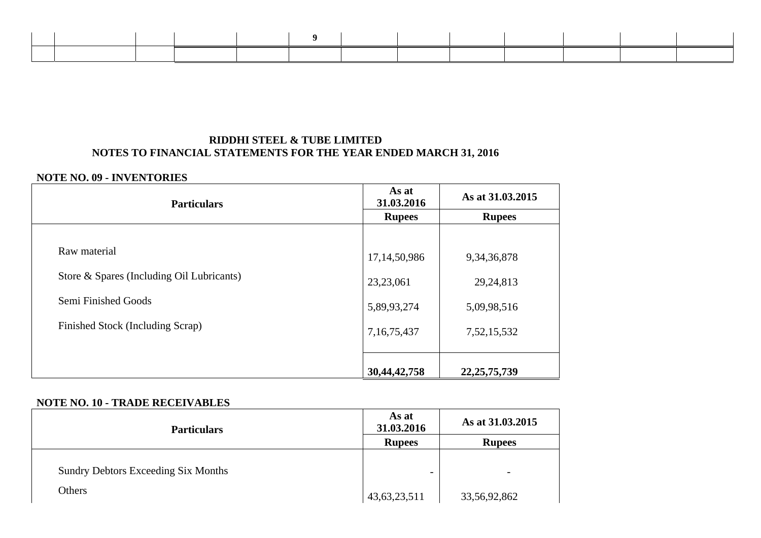### **RIDDHI STEEL & TUBE LIMITED NOTES TO FINANCIAL STATEMENTS FOR THE YEAR ENDED MARCH 31, 2016**

#### **NOTE NO. 09 - INVENTORIES**

| <b>Particulars</b>                        | As at<br>31.03.2016 | As at 31.03.2015 |
|-------------------------------------------|---------------------|------------------|
|                                           | <b>Rupees</b>       | <b>Rupees</b>    |
|                                           |                     |                  |
| Raw material                              | 17, 14, 50, 986     | 9, 34, 36, 878   |
| Store & Spares (Including Oil Lubricants) | 23, 23, 061         | 29, 24, 813      |
| Semi Finished Goods                       | 5,89,93,274         | 5,09,98,516      |
| Finished Stock (Including Scrap)          | 7,16,75,437         | 7,52,15,532      |
|                                           |                     |                  |
|                                           | 30,44,42,758        | 22, 25, 75, 739  |

#### **NOTE NO. 10 - TRADE RECEIVABLES**

| <b>Particulars</b>                         | As at<br>31.03.2016 | As at 31.03.2015         |
|--------------------------------------------|---------------------|--------------------------|
|                                            | <b>Rupees</b>       | <b>Rupees</b>            |
| <b>Sundry Debtors Exceeding Six Months</b> |                     | $\overline{\phantom{a}}$ |
| Others                                     | 43, 63, 23, 511     | 33,56,92,862             |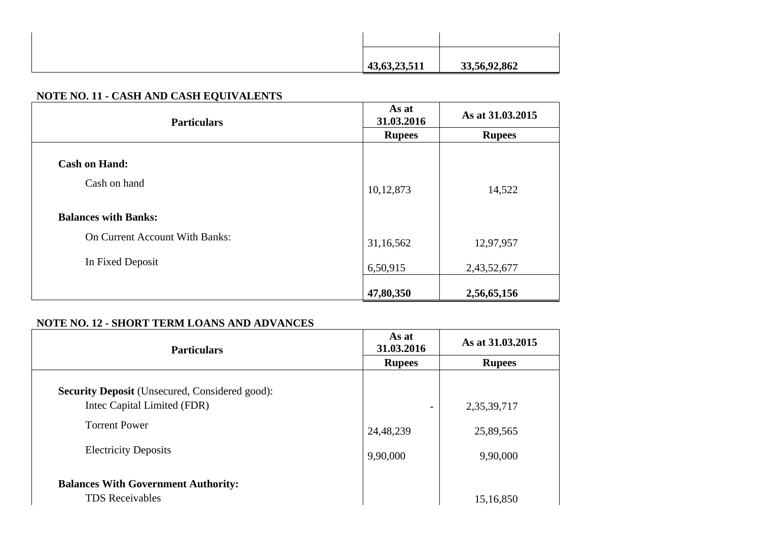| 43, 63, 23, 511 | 33,56,92,862 |
|-----------------|--------------|

# **NOTE NO. 11 - CASH AND CASH EQUIVALENTS**

| <b>Particulars</b>                   | As at<br>31.03.2016 | As at 31.03.2015 |
|--------------------------------------|---------------------|------------------|
|                                      | <b>Rupees</b>       | <b>Rupees</b>    |
| <b>Cash on Hand:</b><br>Cash on hand | 10,12,873           | 14,522           |
| <b>Balances with Banks:</b>          |                     |                  |
| On Current Account With Banks:       | 31,16,562           | 12,97,957        |
| In Fixed Deposit                     | 6,50,915            | 2,43,52,677      |
|                                      | 47,80,350           | 2,56,65,156      |

#### **NOTE NO. 12 - SHORT TERM LOANS AND ADVANCES**

| <b>Particulars</b>                                                                   | As at<br>31.03.2016 | As at 31.03.2015 |
|--------------------------------------------------------------------------------------|---------------------|------------------|
|                                                                                      | <b>Rupees</b>       | <b>Rupees</b>    |
| <b>Security Deposit (Unsecured, Considered good):</b><br>Intec Capital Limited (FDR) | -                   | 2,35,39,717      |
| <b>Torrent Power</b>                                                                 | 24,48,239           | 25,89,565        |
| <b>Electricity Deposits</b>                                                          | 9,90,000            | 9,90,000         |
| <b>Balances With Government Authority:</b><br><b>TDS</b> Receivables                 |                     | 15,16,850        |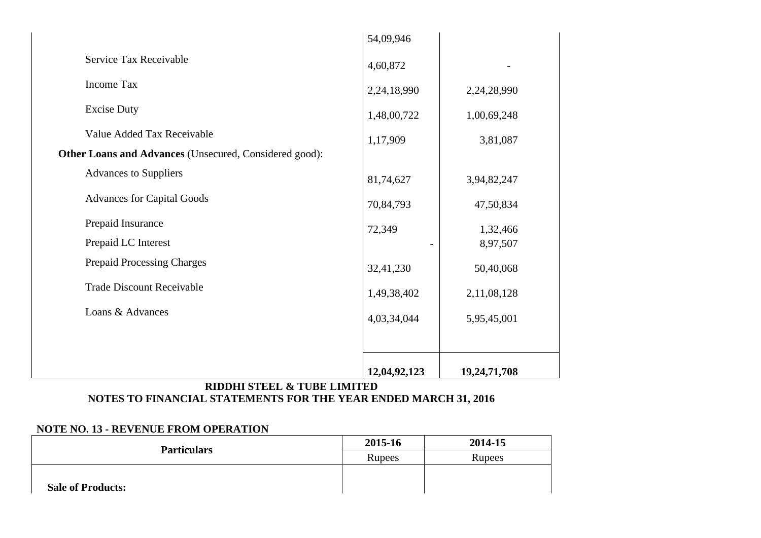|                                                        | 54,09,946    |              |
|--------------------------------------------------------|--------------|--------------|
| Service Tax Receivable                                 | 4,60,872     |              |
| Income Tax                                             | 2,24,18,990  | 2,24,28,990  |
| <b>Excise Duty</b>                                     | 1,48,00,722  | 1,00,69,248  |
| Value Added Tax Receivable                             | 1,17,909     | 3,81,087     |
| Other Loans and Advances (Unsecured, Considered good): |              |              |
| <b>Advances to Suppliers</b>                           | 81,74,627    | 3,94,82,247  |
| <b>Advances for Capital Goods</b>                      | 70,84,793    | 47,50,834    |
| Prepaid Insurance                                      | 72,349       | 1,32,466     |
| Prepaid LC Interest                                    |              | 8,97,507     |
| <b>Prepaid Processing Charges</b>                      | 32,41,230    | 50,40,068    |
| <b>Trade Discount Receivable</b>                       | 1,49,38,402  | 2,11,08,128  |
| Loans & Advances                                       | 4,03,34,044  | 5,95,45,001  |
|                                                        |              |              |
|                                                        | 12,04,92,123 | 19,24,71,708 |

# **RIDDHI STEEL & TUBE LIMITED NOTES TO FINANCIAL STATEMENTS FOR THE YEAR ENDED MARCH 31, 2016**

#### **NOTE NO. 13 - REVENUE FROM OPERATION**

| <b>Particulars</b>       | 2015-16       | 2014-15       |
|--------------------------|---------------|---------------|
|                          | <b>Rupees</b> | <b>Rupees</b> |
|                          |               |               |
| <b>Sale of Products:</b> |               |               |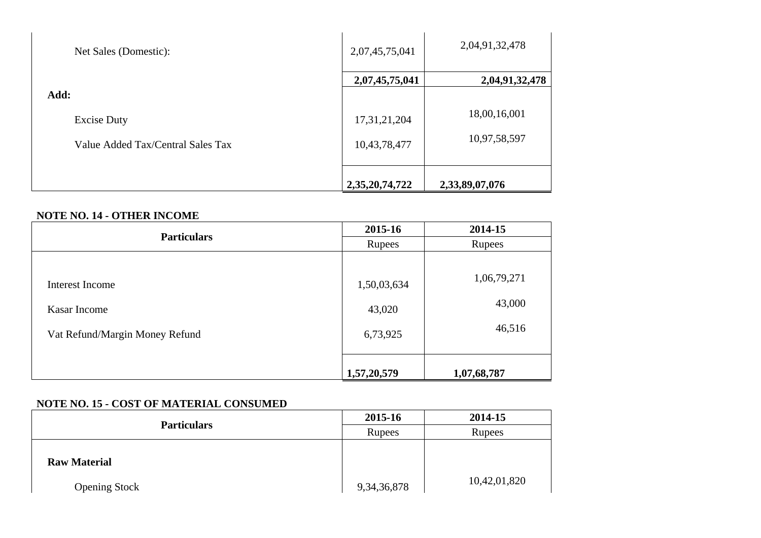| Net Sales (Domestic):                                   | 2,07,45,75,041                  | 2,04,91,32,478               |
|---------------------------------------------------------|---------------------------------|------------------------------|
| Add:                                                    | 2,07,45,75,041                  | 2,04,91,32,478               |
| <b>Excise Duty</b><br>Value Added Tax/Central Sales Tax | 17, 31, 21, 204<br>10,43,78,477 | 18,00,16,001<br>10,97,58,597 |
|                                                         | 2,35,20,74,722                  | 2,33,89,07,076               |

#### **NOTE NO. 14 - OTHER INCOME**

| <b>Particulars</b>                                                       | 2015-16                           | 2014-15                         |
|--------------------------------------------------------------------------|-----------------------------------|---------------------------------|
|                                                                          | Rupees                            | Rupees                          |
| <b>Interest Income</b><br>Kasar Income<br>Vat Refund/Margin Money Refund | 1,50,03,634<br>43,020<br>6,73,925 | 1,06,79,271<br>43,000<br>46,516 |
|                                                                          | 1,57,20,579                       | 1,07,68,787                     |

#### **NOTE NO. 15 - COST OF MATERIAL CONSUMED**

| <b>Particulars</b>   | 2015-16        | 2014-15       |
|----------------------|----------------|---------------|
|                      | <b>Rupees</b>  | <b>Rupees</b> |
| <b>Raw Material</b>  |                |               |
| <b>Opening Stock</b> | 9, 34, 36, 878 | 10,42,01,820  |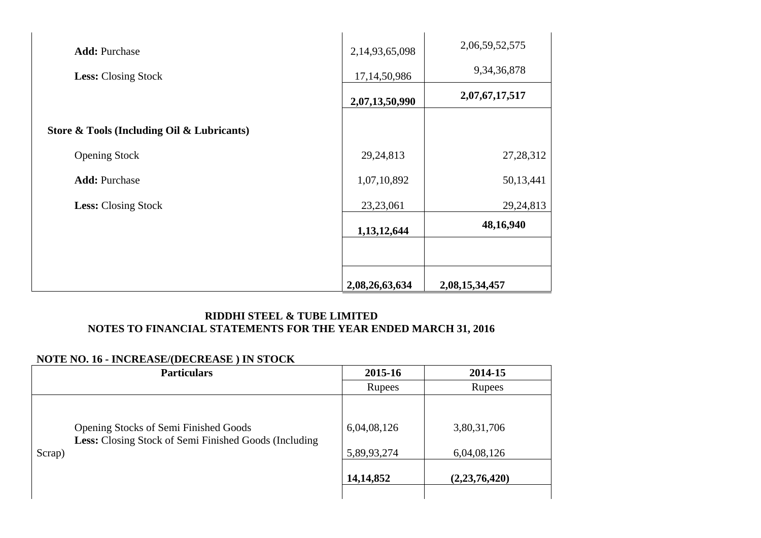|                                            | 2,08,26,63,634  | 2,08,15,34,457 |
|--------------------------------------------|-----------------|----------------|
|                                            | 1,13,12,644     |                |
|                                            |                 | 48,16,940      |
| <b>Less:</b> Closing Stock                 | 23, 23, 061     | 29,24,813      |
| <b>Add: Purchase</b>                       | 1,07,10,892     | 50,13,441      |
| <b>Opening Stock</b>                       | 29, 24, 813     | 27, 28, 312    |
| Store & Tools (Including Oil & Lubricants) |                 |                |
|                                            | 2,07,13,50,990  | 2,07,67,17,517 |
| <b>Less: Closing Stock</b>                 | 17, 14, 50, 986 | 9, 34, 36, 878 |
| <b>Add: Purchase</b>                       | 2,14,93,65,098  | 2,06,59,52,575 |
|                                            |                 |                |

### **RIDDHI STEEL & TUBE LIMITED NOTES TO FINANCIAL STATEMENTS FOR THE YEAR ENDED MARCH 31, 2016**

# **NOTE NO. 16 - INCREASE/(DECREASE ) IN STOCK**

| <b>Particulars</b>                                                                                              | 2015-16                    | 2014-15                    |
|-----------------------------------------------------------------------------------------------------------------|----------------------------|----------------------------|
|                                                                                                                 | Rupees                     | Rupees                     |
| <b>Opening Stocks of Semi Finished Goods</b><br>Less: Closing Stock of Semi Finished Goods (Including<br>Scrap) | 6,04,08,126<br>5,89,93,274 | 3,80,31,706<br>6,04,08,126 |
|                                                                                                                 | 14, 14, 852                | (2,23,76,420)              |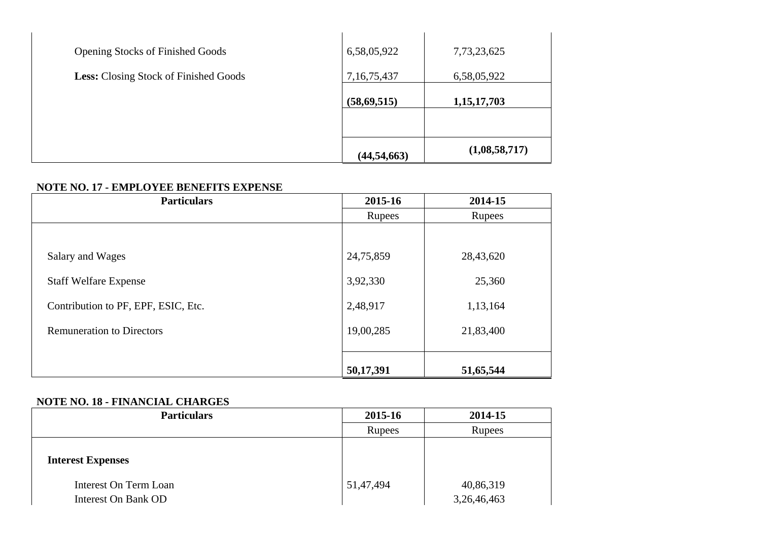|                                              | (44, 54, 663)  | (1,08,58,717) |
|----------------------------------------------|----------------|---------------|
|                                              | (58, 69, 515)  | 1,15,17,703   |
| <b>Less:</b> Closing Stock of Finished Goods | 7, 16, 75, 437 | 6,58,05,922   |
| <b>Opening Stocks of Finished Goods</b>      | 6,58,05,922    | 7,73,23,625   |

#### **NOTE NO. 17 - EMPLOYEE BENEFITS EXPENSE**

| <b>Particulars</b>                  | 2015-16   | 2014-15   |
|-------------------------------------|-----------|-----------|
|                                     | Rupees    | Rupees    |
|                                     |           |           |
| Salary and Wages                    | 24,75,859 | 28,43,620 |
| <b>Staff Welfare Expense</b>        | 3,92,330  | 25,360    |
| Contribution to PF, EPF, ESIC, Etc. | 2,48,917  | 1,13,164  |
| <b>Remuneration to Directors</b>    | 19,00,285 | 21,83,400 |
|                                     | 50,17,391 | 51,65,544 |

#### **NOTE NO. 18 - FINANCIAL CHARGES**

| <b>Particulars</b>       | 2015-16       | 2014-15       |
|--------------------------|---------------|---------------|
|                          | <b>Rupees</b> | <b>Rupees</b> |
| <b>Interest Expenses</b> |               |               |
| Interest On Term Loan    | 51,47,494     | 40,86,319     |
| Interest On Bank OD      |               | 3,26,46,463   |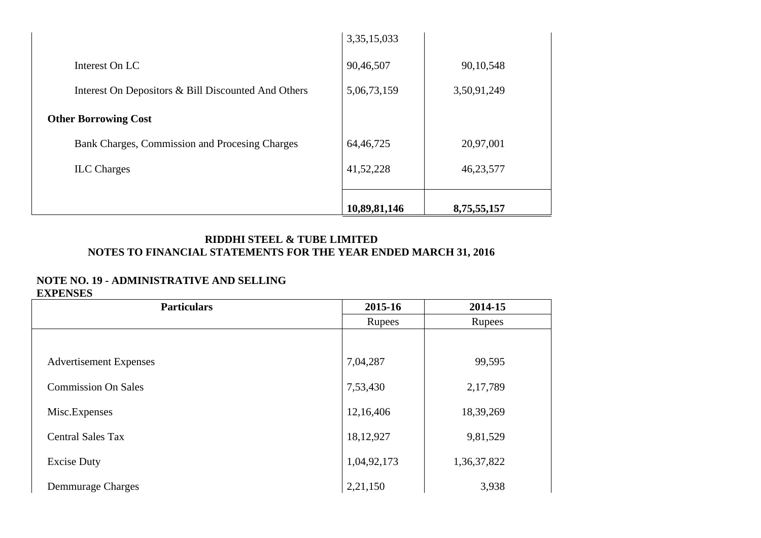|                                                       | 10,89,81,146   | 8,75,55,157 |
|-------------------------------------------------------|----------------|-------------|
| <b>ILC</b> Charges                                    | 41,52,228      | 46,23,577   |
| <b>Bank Charges, Commission and Procesing Charges</b> | 64, 46, 725    | 20,97,001   |
| <b>Other Borrowing Cost</b>                           |                |             |
| Interest On Depositors & Bill Discounted And Others   | 5,06,73,159    | 3,50,91,249 |
| Interest On LC                                        | 90,46,507      | 90, 10, 548 |
|                                                       | 3, 35, 15, 033 |             |

### **RIDDHI STEEL & TUBE LIMITED NOTES TO FINANCIAL STATEMENTS FOR THE YEAR ENDED MARCH 31, 2016**

#### **NOTE NO. 19 - ADMINISTRATIVE AND SELLING EXPENSES**

| <b>Particulars</b>            | 2015-16     | 2014-15     |  |
|-------------------------------|-------------|-------------|--|
|                               | Rupees      | Rupees      |  |
|                               |             |             |  |
| <b>Advertisement Expenses</b> | 7,04,287    | 99,595      |  |
| <b>Commission On Sales</b>    | 7,53,430    | 2,17,789    |  |
| Misc.Expenses                 | 12,16,406   | 18,39,269   |  |
| <b>Central Sales Tax</b>      | 18,12,927   | 9,81,529    |  |
| <b>Excise Duty</b>            | 1,04,92,173 | 1,36,37,822 |  |
| Demmurage Charges             | 2,21,150    | 3,938       |  |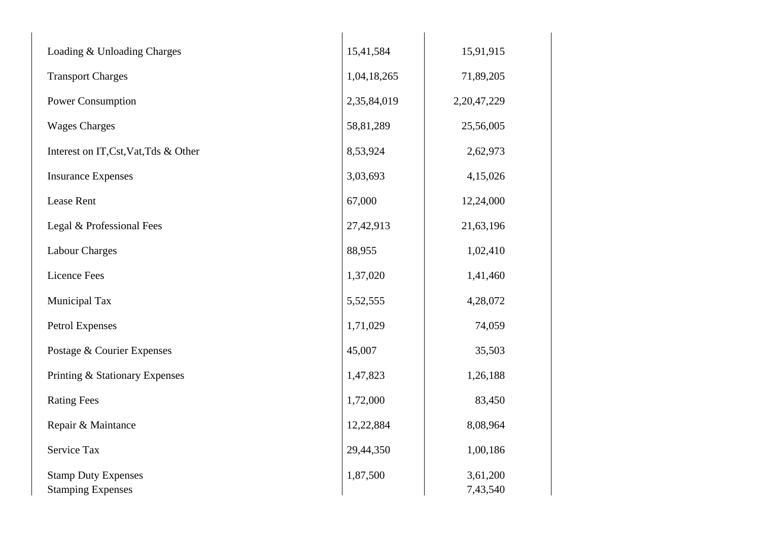| Loading & Unloading Charges                            | 15,41,584   | 15,91,915            |
|--------------------------------------------------------|-------------|----------------------|
| <b>Transport Charges</b>                               | 1,04,18,265 | 71,89,205            |
| <b>Power Consumption</b>                               | 2,35,84,019 | 2,20,47,229          |
| <b>Wages Charges</b>                                   | 58,81,289   | 25,56,005            |
| Interest on IT, Cst, Vat, Tds & Other                  | 8,53,924    | 2,62,973             |
| <b>Insurance Expenses</b>                              | 3,03,693    | 4,15,026             |
| <b>Lease Rent</b>                                      | 67,000      | 12,24,000            |
| Legal & Professional Fees                              | 27,42,913   | 21,63,196            |
| <b>Labour Charges</b>                                  | 88,955      | 1,02,410             |
| <b>Licence Fees</b>                                    | 1,37,020    | 1,41,460             |
| Municipal Tax                                          | 5,52,555    | 4,28,072             |
| <b>Petrol Expenses</b>                                 | 1,71,029    | 74,059               |
| Postage & Courier Expenses                             | 45,007      | 35,503               |
| Printing & Stationary Expenses                         | 1,47,823    | 1,26,188             |
| <b>Rating Fees</b>                                     | 1,72,000    | 83,450               |
| Repair & Maintance                                     | 12,22,884   | 8,08,964             |
| Service Tax                                            | 29,44,350   | 1,00,186             |
| <b>Stamp Duty Expenses</b><br><b>Stamping Expenses</b> | 1,87,500    | 3,61,200<br>7,43,540 |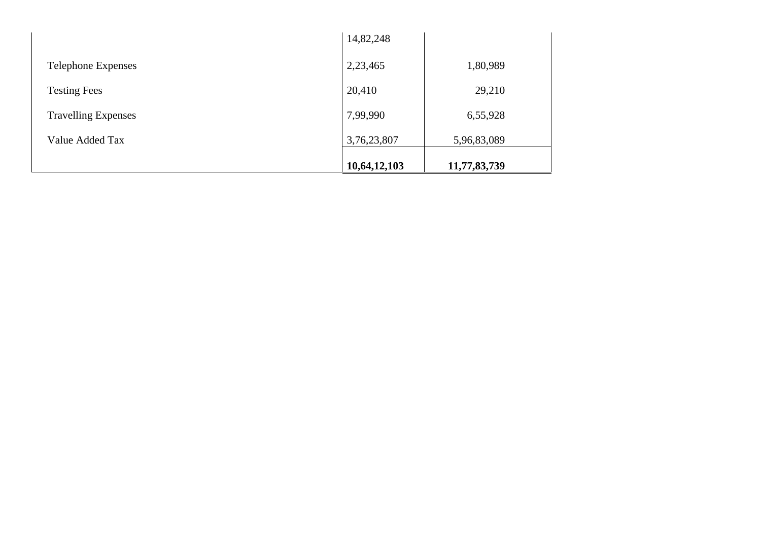|                            | 10,64,12,103 | 11,77,83,739 |
|----------------------------|--------------|--------------|
| Value Added Tax            | 3,76,23,807  | 5,96,83,089  |
| <b>Travelling Expenses</b> | 7,99,990     | 6,55,928     |
| <b>Testing Fees</b>        | 20,410       | 29,210       |
| <b>Telephone Expenses</b>  | 2,23,465     | 1,80,989     |
|                            | 14,82,248    |              |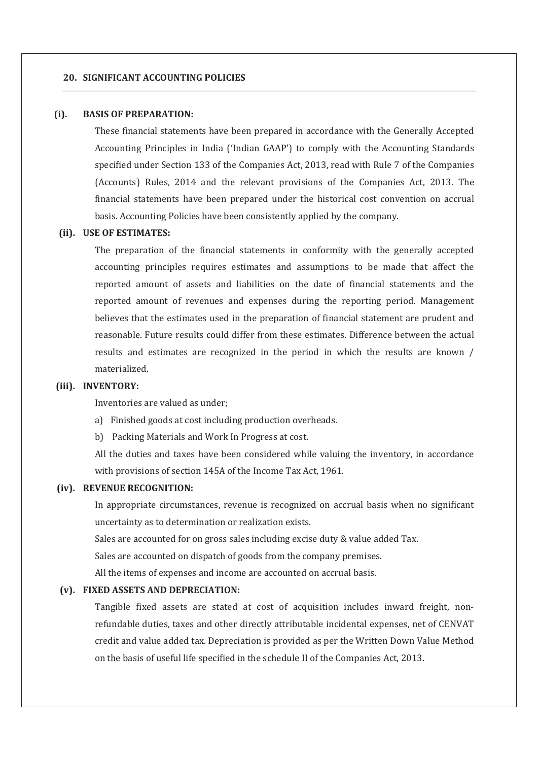#### **20. SIGNIFICANT ACCOUNTING POLICIES**

#### **(i). BASIS OF PREPARATION:**

These financial statements have been prepared in accordance with the Generally Accepted Accounting Principles in India ('Indian GAAP') to comply with the Accounting Standards specified under Section 133 of the Companies Act, 2013, read with Rule 7 of the Companies (Accounts) Rules, 2014 and the relevant provisions of the Companies Act, 2013. The financial statements have been prepared under the historical cost convention on accrual basis. Accounting Policies have been consistently applied by the company.

#### **(ii). USE OF ESTIMATES:**

The preparation of the financial statements in conformity with the generally accepted accounting principles requires estimates and assumptions to be made that affect the reported amount of assets and liabilities on the date of financial statements and the reported amount of revenues and expenses during the reporting period. Management believes that the estimates used in the preparation of financial statement are prudent and reasonable. Future results could differ from these estimates. Difference between the actual results and estimates are recognized in the period in which the results are known / materialized

#### **(iii). INVENTORY:**

Inventories are valued as under:

- a) Finished goods at cost including production overheads.
- b) Packing Materials and Work In Progress at cost.

All the duties and taxes have been considered while valuing the inventory, in accordance with provisions of section 145A of the Income Tax Act, 1961.

#### **(iv). REVENUE RECOGNITION:**

In appropriate circumstances, revenue is recognized on accrual basis when no significant uncertainty as to determination or realization exists.

Sales are accounted for on gross sales including excise duty & value added Tax.

Sales are accounted on dispatch of goods from the company premises.

All the items of expenses and income are accounted on accrual basis.

#### **(v). FIXED ASSETS AND DEPRECIATION:**

Tangible fixed assets are stated at cost of acquisition includes inward freight, nonrefundable duties, taxes and other directly attributable incidental expenses, net of CENVAT credit and value added tax. Depreciation is provided as per the Written Down Value Method on the basis of useful life specified in the schedule II of the Companies Act, 2013.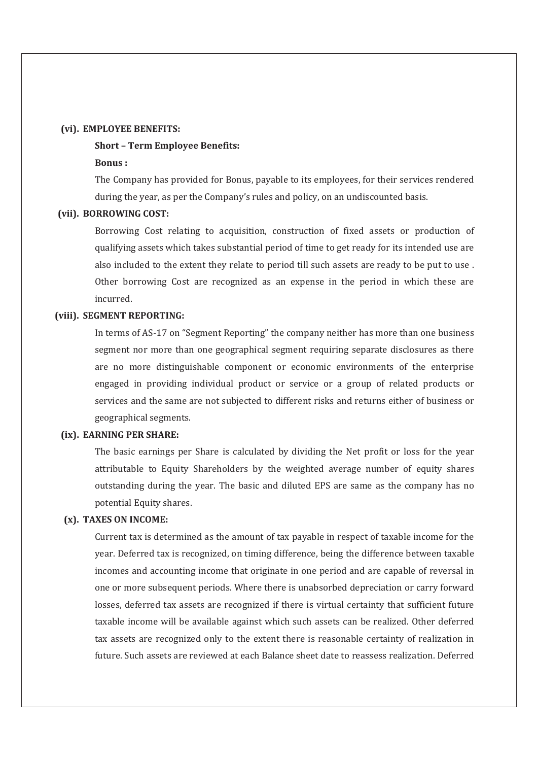#### **(vi). EMPLOYEE BENEFITS:**

#### **Short – Term Employee Benefits:**

#### **Bonus :**

The Company has provided for Bonus, payable to its employees, for their services rendered during the year, as per the Company's rules and policy, on an undiscounted basis.

#### **(vii). BORROWING COST:**

Borrowing Cost relating to acquisition, construction of fixed assets or production of qualifying assets which takes substantial period of time to get ready for its intended use are also included to the extent they relate to period till such assets are ready to be put to use. Other borrowing Cost are recognized as an expense in the period in which these are incurred.

### **(viii). SEGMENT REPORTING:**

In terms of AS-17 on "Segment Reporting" the company neither has more than one business segment nor more than one geographical segment requiring separate disclosures as there are no more distinguishable component or economic environments of the enterprise engaged in providing individual product or service or a group of related products or services and the same are not subjected to different risks and returns either of business or geographical segments.

#### **(ix). EARNING PER SHARE:**

The basic earnings per Share is calculated by dividing the Net profit or loss for the year attributable to Equity Shareholders by the weighted average number of equity shares outstanding during the year. The basic and diluted EPS are same as the company has no potential Equity shares.

#### **(x). TAXES ON INCOME:**

Current tax is determined as the amount of tax payable in respect of taxable income for the year. Deferred tax is recognized, on timing difference, being the difference between taxable incomes and accounting income that originate in one period and are capable of reversal in one or more subsequent periods. Where there is unabsorbed depreciation or carry forward losses, deferred tax assets are recognized if there is virtual certainty that sufficient future taxable income will be available against which such assets can be realized. Other deferred tax assets are recognized only to the extent there is reasonable certainty of realization in future. Such assets are reviewed at each Balance sheet date to reassess realization. Deferred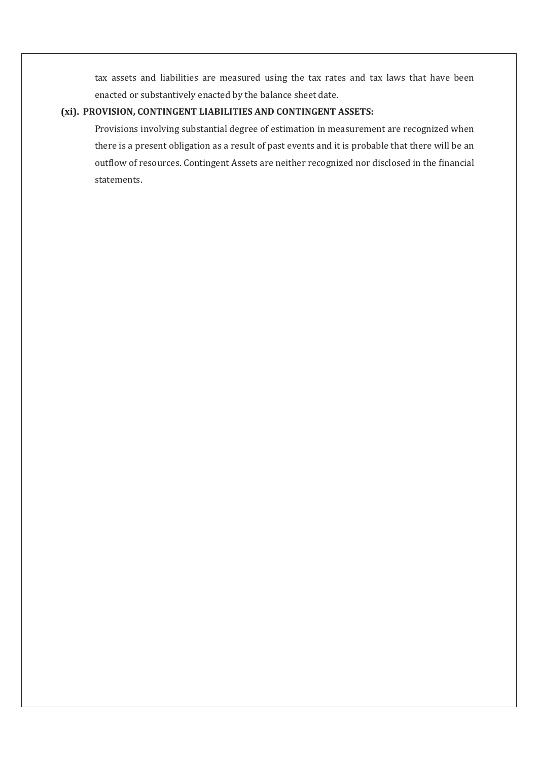tax assets and liabilities are measured using the tax rates and tax laws that have been enacted or substantively enacted by the balance sheet date.

#### **(xi). PROVISION, CONTINGENT LIABILITIES AND CONTINGENT ASSETS:**

Provisions involving substantial degree of estimation in measurement are recognized when there is a present obligation as a result of past events and it is probable that there will be an outflow of resources. Contingent Assets are neither recognized nor disclosed in the financial statements.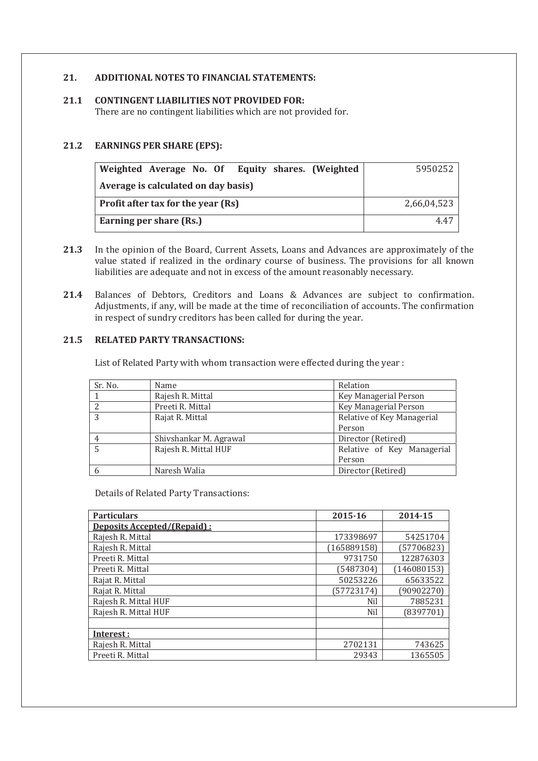#### **21. ADDITIONAL NOTES TO FINANCIAL STATEMENTS:**

# **21.1 CONTINGENT LIABILITIES NOT PROVIDED FOR:**

There are no contingent liabilities which are not provided for.

# **21.2 EARNINGS PER SHARE (EPS):**

| Weighted Average No. Of Equity shares. (Weighted | 5950252     |
|--------------------------------------------------|-------------|
| Average is calculated on day basis)              |             |
| Profit after tax for the year (Rs)               | 2,66,04,523 |
| Earning per share (Rs.)                          | 4.47        |

- 21.3 In the opinion of the Board, Current Assets, Loans and Advances are approximately of the value stated if realized in the ordinary course of business. The provisions for all known liabilities are adequate and not in excess of the amount reasonably necessary.
- 21.4 Balances of Debtors, Creditors and Loans & Advances are subject to confirmation. Adjustments, if any, will be made at the time of reconciliation of accounts. The confirmation in respect of sundry creditors has been called for during the year.

# **21.5 RELATED PARTY TRANSACTIONS:**

List of Related Party with whom transaction were effected during the year :

| Sr. No. | Name                   | Relation                   |  |
|---------|------------------------|----------------------------|--|
|         | Rajesh R. Mittal       | Key Managerial Person      |  |
| 2       | Preeti R. Mittal       | Key Managerial Person      |  |
| 3       | Rajat R. Mittal        | Relative of Key Managerial |  |
|         |                        | Person                     |  |
| 4       | Shivshankar M. Agrawal | Director (Retired)         |  |
|         | Rajesh R. Mittal HUF   | Relative of Key Managerial |  |
|         |                        | Person                     |  |
| 6       | Naresh Walia           | Director (Retired)         |  |

Details of Related Party Transactions:

| <b>Particulars</b>          | 2015-16     | 2014-15     |
|-----------------------------|-------------|-------------|
| Deposits Accepted/(Repaid): |             |             |
| Rajesh R. Mittal            | 173398697   | 54251704    |
| Rajesh R. Mittal            | (165889158) | (57706823)  |
| Preeti R. Mittal            | 9731750     | 122876303   |
| Preeti R. Mittal            | (5487304)   | (146080153) |
| Rajat R. Mittal             | 50253226    | 65633522    |
| Rajat R. Mittal             | (57723174)  | (90902270)  |
| Rajesh R. Mittal HUF        | Nil         | 7885231     |
| Rajesh R. Mittal HUF        | Nil         | (8397701)   |
|                             |             |             |
| Interest:                   |             |             |
| Rajesh R. Mittal            | 2702131     | 743625      |
| Preeti R. Mittal            | 29343       | 1365505     |